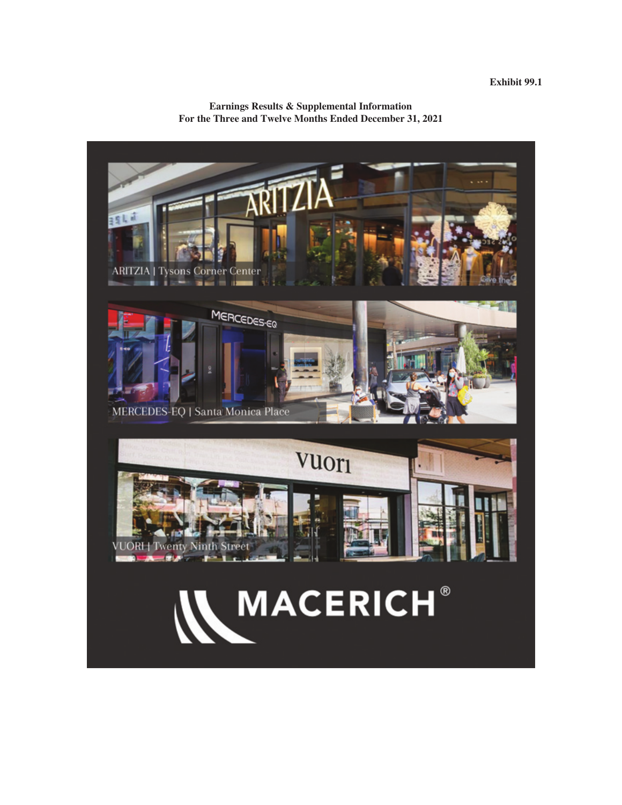**Earnings Results & Supplemental Information For the Three and Twelve Months Ended December 31, 2021**

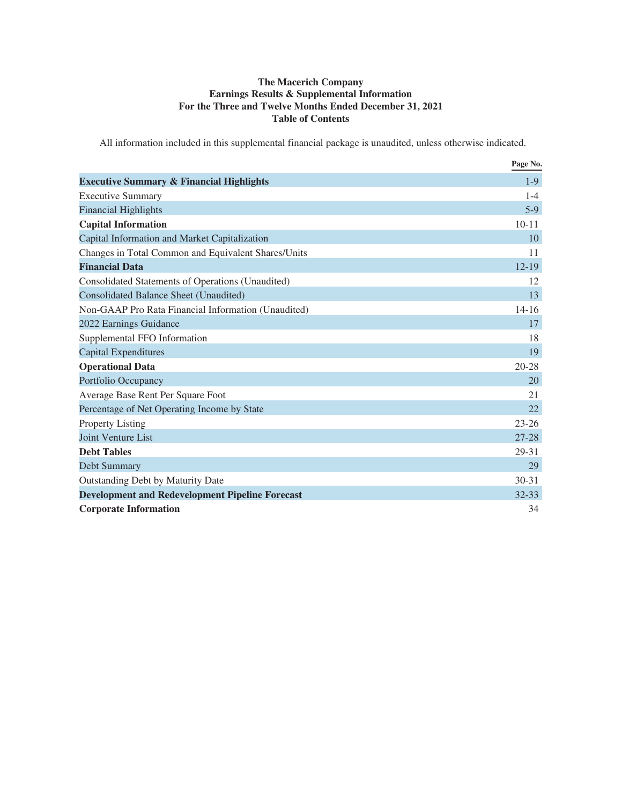# **The Macerich Company Earnings Results & Supplemental Information For the Three and Twelve Months Ended December 31, 2021 Table of Contents**

All information included in this supplemental financial package is unaudited, unless otherwise indicated.

|                                                        | Page No.  |
|--------------------------------------------------------|-----------|
| <b>Executive Summary &amp; Financial Highlights</b>    | $1-9$     |
| <b>Executive Summary</b>                               | $1 - 4$   |
| <b>Financial Highlights</b>                            | $5-9$     |
| <b>Capital Information</b>                             | $10 - 11$ |
| Capital Information and Market Capitalization          | 10        |
| Changes in Total Common and Equivalent Shares/Units    | 11        |
| <b>Financial Data</b>                                  | $12 - 19$ |
| Consolidated Statements of Operations (Unaudited)      | 12        |
| Consolidated Balance Sheet (Unaudited)                 | 13        |
| Non-GAAP Pro Rata Financial Information (Unaudited)    | $14 - 16$ |
| 2022 Earnings Guidance                                 | 17        |
| Supplemental FFO Information                           | 18        |
| Capital Expenditures                                   | 19        |
| <b>Operational Data</b>                                | $20 - 28$ |
| Portfolio Occupancy                                    | 20        |
| Average Base Rent Per Square Foot                      | 21        |
| Percentage of Net Operating Income by State            | 22        |
| Property Listing                                       | $23 - 26$ |
| <b>Joint Venture List</b>                              | $27 - 28$ |
| <b>Debt Tables</b>                                     | 29-31     |
| Debt Summary                                           | 29        |
| Outstanding Debt by Maturity Date                      | $30 - 31$ |
| <b>Development and Redevelopment Pipeline Forecast</b> | $32 - 33$ |
| <b>Corporate Information</b>                           | 34        |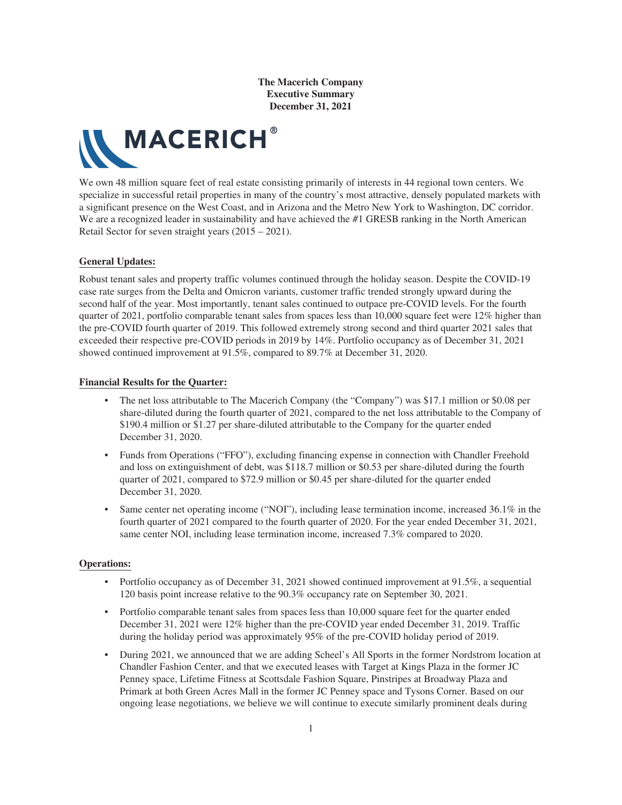

We own 48 million square feet of real estate consisting primarily of interests in 44 regional town centers. We specialize in successful retail properties in many of the country's most attractive, densely populated markets with a significant presence on the West Coast, and in Arizona and the Metro New York to Washington, DC corridor. We are a recognized leader in sustainability and have achieved the #1 GRESB ranking in the North American Retail Sector for seven straight years (2015 – 2021).

#### **General Updates:**

Robust tenant sales and property traffic volumes continued through the holiday season. Despite the COVID-19 case rate surges from the Delta and Omicron variants, customer traffic trended strongly upward during the second half of the year. Most importantly, tenant sales continued to outpace pre-COVID levels. For the fourth quarter of 2021, portfolio comparable tenant sales from spaces less than 10,000 square feet were 12% higher than the pre-COVID fourth quarter of 2019. This followed extremely strong second and third quarter 2021 sales that exceeded their respective pre-COVID periods in 2019 by 14%. Portfolio occupancy as of December 31, 2021 showed continued improvement at 91.5%, compared to 89.7% at December 31, 2020.

#### **Financial Results for the Quarter:**

- The net loss attributable to The Macerich Company (the "Company") was \$17.1 million or \$0.08 per share-diluted during the fourth quarter of 2021, compared to the net loss attributable to the Company of \$190.4 million or \$1.27 per share-diluted attributable to the Company for the quarter ended December 31, 2020.
- Funds from Operations ("FFO"), excluding financing expense in connection with Chandler Freehold and loss on extinguishment of debt, was \$118.7 million or \$0.53 per share-diluted during the fourth quarter of 2021, compared to \$72.9 million or \$0.45 per share-diluted for the quarter ended December 31, 2020.
- Same center net operating income ("NOI"), including lease termination income, increased 36.1% in the fourth quarter of 2021 compared to the fourth quarter of 2020. For the year ended December 31, 2021, same center NOI, including lease termination income, increased 7.3% compared to 2020.

#### **Operations:**

- Portfolio occupancy as of December 31, 2021 showed continued improvement at 91.5%, a sequential 120 basis point increase relative to the 90.3% occupancy rate on September 30, 2021.
- Portfolio comparable tenant sales from spaces less than 10,000 square feet for the quarter ended December 31, 2021 were 12% higher than the pre-COVID year ended December 31, 2019. Traffic during the holiday period was approximately 95% of the pre-COVID holiday period of 2019.
- During 2021, we announced that we are adding Scheel's All Sports in the former Nordstrom location at Chandler Fashion Center, and that we executed leases with Target at Kings Plaza in the former JC Penney space, Lifetime Fitness at Scottsdale Fashion Square, Pinstripes at Broadway Plaza and Primark at both Green Acres Mall in the former JC Penney space and Tysons Corner. Based on our ongoing lease negotiations, we believe we will continue to execute similarly prominent deals during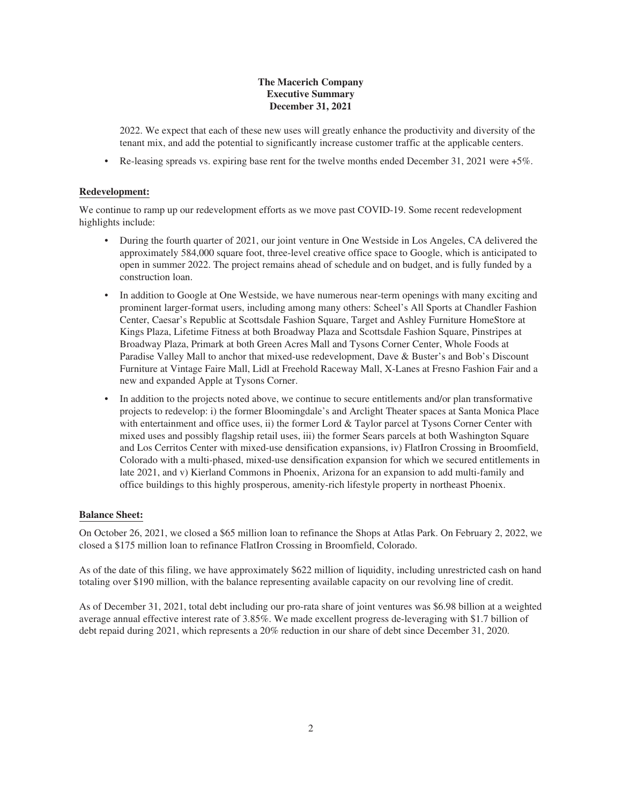2022. We expect that each of these new uses will greatly enhance the productivity and diversity of the tenant mix, and add the potential to significantly increase customer traffic at the applicable centers.

• Re-leasing spreads vs. expiring base rent for the twelve months ended December 31, 2021 were +5%.

### **Redevelopment:**

We continue to ramp up our redevelopment efforts as we move past COVID-19. Some recent redevelopment highlights include:

- During the fourth quarter of 2021, our joint venture in One Westside in Los Angeles, CA delivered the approximately 584,000 square foot, three-level creative office space to Google, which is anticipated to open in summer 2022. The project remains ahead of schedule and on budget, and is fully funded by a construction loan.
- In addition to Google at One Westside, we have numerous near-term openings with many exciting and prominent larger-format users, including among many others: Scheel's All Sports at Chandler Fashion Center, Caesar's Republic at Scottsdale Fashion Square, Target and Ashley Furniture HomeStore at Kings Plaza, Lifetime Fitness at both Broadway Plaza and Scottsdale Fashion Square, Pinstripes at Broadway Plaza, Primark at both Green Acres Mall and Tysons Corner Center, Whole Foods at Paradise Valley Mall to anchor that mixed-use redevelopment, Dave & Buster's and Bob's Discount Furniture at Vintage Faire Mall, Lidl at Freehold Raceway Mall, X-Lanes at Fresno Fashion Fair and a new and expanded Apple at Tysons Corner.
- In addition to the projects noted above, we continue to secure entitlements and/or plan transformative projects to redevelop: i) the former Bloomingdale's and Arclight Theater spaces at Santa Monica Place with entertainment and office uses, ii) the former Lord  $&$  Taylor parcel at Tysons Corner Center with mixed uses and possibly flagship retail uses, iii) the former Sears parcels at both Washington Square and Los Cerritos Center with mixed-use densification expansions, iv) FlatIron Crossing in Broomfield, Colorado with a multi-phased, mixed-use densification expansion for which we secured entitlements in late 2021, and v) Kierland Commons in Phoenix, Arizona for an expansion to add multi-family and office buildings to this highly prosperous, amenity-rich lifestyle property in northeast Phoenix.

### **Balance Sheet:**

On October 26, 2021, we closed a \$65 million loan to refinance the Shops at Atlas Park. On February 2, 2022, we closed a \$175 million loan to refinance FlatIron Crossing in Broomfield, Colorado.

As of the date of this filing, we have approximately \$622 million of liquidity, including unrestricted cash on hand totaling over \$190 million, with the balance representing available capacity on our revolving line of credit.

As of December 31, 2021, total debt including our pro-rata share of joint ventures was \$6.98 billion at a weighted average annual effective interest rate of 3.85%. We made excellent progress de-leveraging with \$1.7 billion of debt repaid during 2021, which represents a 20% reduction in our share of debt since December 31, 2020.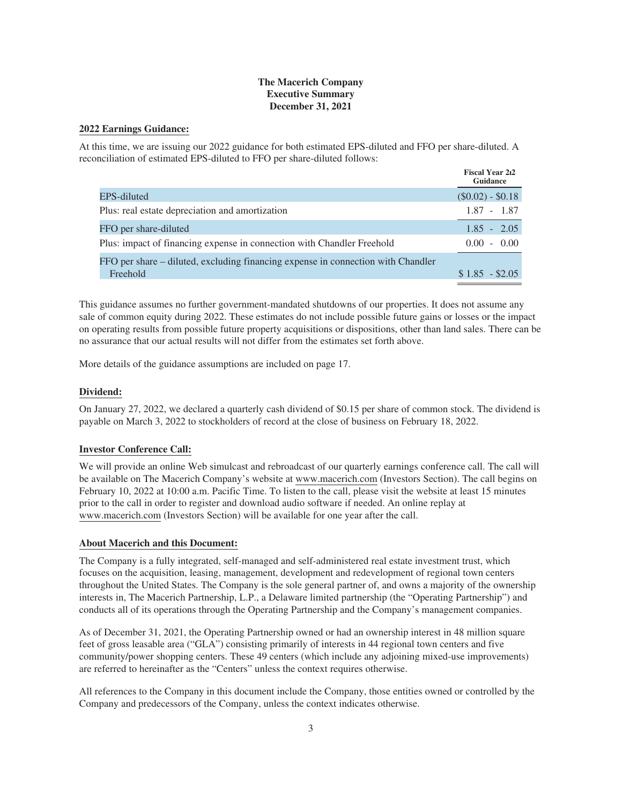#### **2022 Earnings Guidance:**

At this time, we are issuing our 2022 guidance for both estimated EPS-diluted and FFO per share-diluted. A reconciliation of estimated EPS-diluted to FFO per share-diluted follows:

|                                                                                              | <b>Fiscal Year 212</b><br>Guidance |
|----------------------------------------------------------------------------------------------|------------------------------------|
| EPS-diluted                                                                                  | $(\$0.02) - \$0.18$                |
| Plus: real estate depreciation and amortization                                              | $1.87 - 1.87$                      |
| FFO per share-diluted                                                                        | $1.85 - 2.05$                      |
| Plus: impact of financing expense in connection with Chandler Freehold                       | $0.00 - 0.00$                      |
| FFO per share – diluted, excluding financing expense in connection with Chandler<br>Freehold | $$1.85 - $2.05$                    |

This guidance assumes no further government-mandated shutdowns of our properties. It does not assume any sale of common equity during 2022. These estimates do not include possible future gains or losses or the impact on operating results from possible future property acquisitions or dispositions, other than land sales. There can be no assurance that our actual results will not differ from the estimates set forth above.

More details of the guidance assumptions are included on page 17.

#### **Dividend:**

On January 27, 2022, we declared a quarterly cash dividend of \$0.15 per share of common stock. The dividend is payable on March 3, 2022 to stockholders of record at the close of business on February 18, 2022.

#### **Investor Conference Call:**

We will provide an online Web simulcast and rebroadcast of our quarterly earnings conference call. The call will be available on The Macerich Company's website at www.macerich.com (Investors Section). The call begins on February 10, 2022 at 10:00 a.m. Pacific Time. To listen to the call, please visit the website at least 15 minutes prior to the call in order to register and download audio software if needed. An online replay at www.macerich.com (Investors Section) will be available for one year after the call.

#### **About Macerich and this Document:**

The Company is a fully integrated, self-managed and self-administered real estate investment trust, which focuses on the acquisition, leasing, management, development and redevelopment of regional town centers throughout the United States. The Company is the sole general partner of, and owns a majority of the ownership interests in, The Macerich Partnership, L.P., a Delaware limited partnership (the "Operating Partnership") and conducts all of its operations through the Operating Partnership and the Company's management companies.

As of December 31, 2021, the Operating Partnership owned or had an ownership interest in 48 million square feet of gross leasable area ("GLA") consisting primarily of interests in 44 regional town centers and five community/power shopping centers. These 49 centers (which include any adjoining mixed-use improvements) are referred to hereinafter as the "Centers" unless the context requires otherwise.

All references to the Company in this document include the Company, those entities owned or controlled by the Company and predecessors of the Company, unless the context indicates otherwise.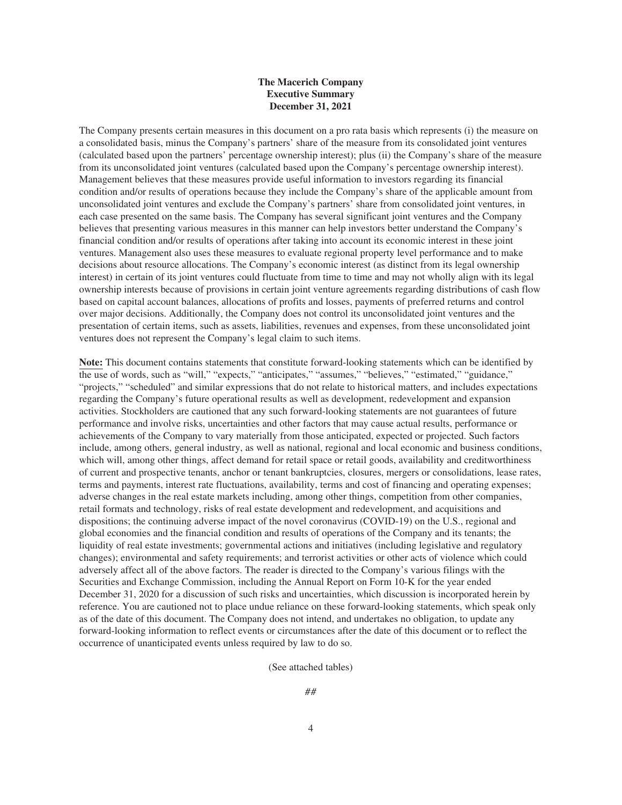The Company presents certain measures in this document on a pro rata basis which represents (i) the measure on a consolidated basis, minus the Company's partners' share of the measure from its consolidated joint ventures (calculated based upon the partners' percentage ownership interest); plus (ii) the Company's share of the measure from its unconsolidated joint ventures (calculated based upon the Company's percentage ownership interest). Management believes that these measures provide useful information to investors regarding its financial condition and/or results of operations because they include the Company's share of the applicable amount from unconsolidated joint ventures and exclude the Company's partners' share from consolidated joint ventures, in each case presented on the same basis. The Company has several significant joint ventures and the Company believes that presenting various measures in this manner can help investors better understand the Company's financial condition and/or results of operations after taking into account its economic interest in these joint ventures. Management also uses these measures to evaluate regional property level performance and to make decisions about resource allocations. The Company's economic interest (as distinct from its legal ownership interest) in certain of its joint ventures could fluctuate from time to time and may not wholly align with its legal ownership interests because of provisions in certain joint venture agreements regarding distributions of cash flow based on capital account balances, allocations of profits and losses, payments of preferred returns and control over major decisions. Additionally, the Company does not control its unconsolidated joint ventures and the presentation of certain items, such as assets, liabilities, revenues and expenses, from these unconsolidated joint ventures does not represent the Company's legal claim to such items.

**Note:** This document contains statements that constitute forward-looking statements which can be identified by the use of words, such as "will," "expects," "anticipates," "assumes," "believes," "estimated," "guidance," "projects," "scheduled" and similar expressions that do not relate to historical matters, and includes expectations regarding the Company's future operational results as well as development, redevelopment and expansion activities. Stockholders are cautioned that any such forward-looking statements are not guarantees of future performance and involve risks, uncertainties and other factors that may cause actual results, performance or achievements of the Company to vary materially from those anticipated, expected or projected. Such factors include, among others, general industry, as well as national, regional and local economic and business conditions, which will, among other things, affect demand for retail space or retail goods, availability and creditworthiness of current and prospective tenants, anchor or tenant bankruptcies, closures, mergers or consolidations, lease rates, terms and payments, interest rate fluctuations, availability, terms and cost of financing and operating expenses; adverse changes in the real estate markets including, among other things, competition from other companies, retail formats and technology, risks of real estate development and redevelopment, and acquisitions and dispositions; the continuing adverse impact of the novel coronavirus (COVID-19) on the U.S., regional and global economies and the financial condition and results of operations of the Company and its tenants; the liquidity of real estate investments; governmental actions and initiatives (including legislative and regulatory changes); environmental and safety requirements; and terrorist activities or other acts of violence which could adversely affect all of the above factors. The reader is directed to the Company's various filings with the Securities and Exchange Commission, including the Annual Report on Form 10-K for the year ended December 31, 2020 for a discussion of such risks and uncertainties, which discussion is incorporated herein by reference. You are cautioned not to place undue reliance on these forward-looking statements, which speak only as of the date of this document. The Company does not intend, and undertakes no obligation, to update any forward-looking information to reflect events or circumstances after the date of this document or to reflect the occurrence of unanticipated events unless required by law to do so.

(See attached tables)

##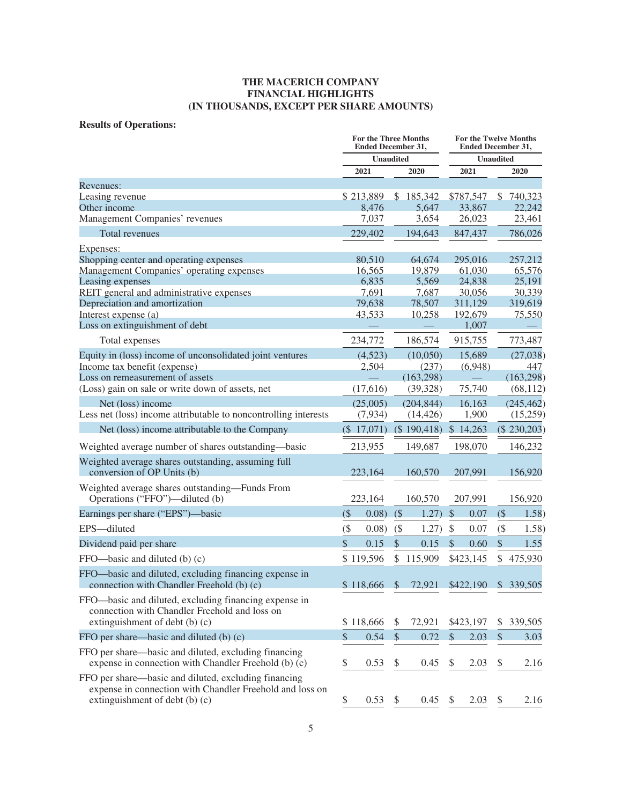# **Results of Operations:**

|                                                                                                                                                    | <b>For the Three Months</b><br><b>Ended December 31,</b> |                  |               | <b>For the Twelve Months</b><br><b>Ended December 31,</b> |                           |                  |                           |               |
|----------------------------------------------------------------------------------------------------------------------------------------------------|----------------------------------------------------------|------------------|---------------|-----------------------------------------------------------|---------------------------|------------------|---------------------------|---------------|
|                                                                                                                                                    |                                                          | <b>Unaudited</b> |               |                                                           |                           | <b>Unaudited</b> |                           |               |
|                                                                                                                                                    |                                                          | 2021             |               | 2020                                                      |                           | 2021             |                           | 2020          |
| Revenues:                                                                                                                                          |                                                          |                  |               |                                                           |                           |                  |                           |               |
| Leasing revenue                                                                                                                                    |                                                          | \$213,889        |               | \$185,342                                                 |                           | \$787,547        | $\mathbb{S}$              | 740,323       |
| Other income                                                                                                                                       |                                                          | 8,476            |               | 5,647                                                     |                           | 33,867           |                           | 22,242        |
| Management Companies' revenues                                                                                                                     |                                                          | 7,037            |               | 3,654                                                     |                           | 26,023           |                           | 23,461        |
| Total revenues                                                                                                                                     |                                                          | 229,402          |               | 194,643                                                   |                           | 847,437          |                           | 786,026       |
| <b>Expenses:</b>                                                                                                                                   |                                                          |                  |               |                                                           |                           |                  |                           |               |
| Shopping center and operating expenses                                                                                                             |                                                          | 80,510           |               | 64,674                                                    |                           | 295,016          |                           | 257,212       |
| Management Companies' operating expenses                                                                                                           |                                                          | 16,565           |               | 19,879                                                    |                           | 61,030           |                           | 65,576        |
| Leasing expenses                                                                                                                                   |                                                          | 6,835            |               | 5,569                                                     |                           | 24,838           |                           | 25,191        |
| REIT general and administrative expenses                                                                                                           |                                                          | 7,691            |               | 7,687                                                     |                           | 30,056           |                           | 30,339        |
| Depreciation and amortization                                                                                                                      |                                                          | 79,638           |               | 78,507                                                    |                           | 311,129          |                           | 319,619       |
| Interest expense (a)                                                                                                                               |                                                          | 43,533           |               | 10,258                                                    |                           | 192,679          |                           | 75,550        |
| Loss on extinguishment of debt                                                                                                                     |                                                          |                  |               |                                                           |                           | 1,007            |                           |               |
| Total expenses                                                                                                                                     |                                                          | 234,772          |               | 186,574                                                   |                           | 915,755          |                           | 773,487       |
| Equity in (loss) income of unconsolidated joint ventures                                                                                           |                                                          | (4,523)          |               | (10,050)                                                  |                           | 15,689           |                           | (27, 038)     |
| Income tax benefit (expense)                                                                                                                       |                                                          | 2,504            |               | (237)                                                     |                           | (6,948)          |                           | 447           |
| Loss on remeasurement of assets                                                                                                                    |                                                          |                  |               | (163, 298)                                                |                           |                  |                           | (163, 298)    |
| (Loss) gain on sale or write down of assets, net                                                                                                   |                                                          | (17,616)         |               | (39, 328)                                                 |                           | 75,740           |                           | (68, 112)     |
| Net (loss) income                                                                                                                                  |                                                          | (25,005)         |               | (204, 844)                                                |                           | 16,163           |                           | (245, 462)    |
| Less net (loss) income attributable to noncontrolling interests                                                                                    |                                                          | (7,934)          |               | (14, 426)                                                 |                           | 1,900            |                           | (15,259)      |
| Net (loss) income attributable to the Company                                                                                                      |                                                          | $($ \$ 17,071)   |               | (\$190,418)                                               |                           | \$14,263         |                           | $(\$230,203)$ |
| Weighted average number of shares outstanding—basic                                                                                                |                                                          | 213,955          |               | 149,687                                                   |                           | 198,070          |                           | 146,232       |
| Weighted average shares outstanding, assuming full<br>conversion of OP Units (b)                                                                   |                                                          | 223,164          |               | 160,570                                                   |                           | 207,991          |                           | 156,920       |
| Weighted average shares outstanding—Funds From<br>Operations ("FFO")—diluted (b)                                                                   |                                                          | 223,164          |               | 160,570                                                   |                           | 207,991          |                           | 156,920       |
| Earnings per share ("EPS")—basic                                                                                                                   | (                                                        | 0.08)            | (             | 1.27)                                                     | $\boldsymbol{\mathsf{S}}$ | 0.07             | (                         | 1.58)         |
| EPS-diluted                                                                                                                                        | $($ \$                                                   | 0.08)            | (             | 1.27)                                                     | $\$\$                     | 0.07             | $($ \$                    | 1.58)         |
| Dividend paid per share                                                                                                                            | \$                                                       | 0.15             | \$            | 0.15                                                      | $\mathcal{S}$             | 0.60             | $\mathcal{S}$             | 1.55          |
| FFO—basic and diluted (b) (c)                                                                                                                      |                                                          | \$119,596        | \$            | 115,909                                                   |                           | \$423,145        | \$                        | 475,930       |
|                                                                                                                                                    |                                                          |                  |               |                                                           |                           |                  |                           |               |
| FFO-basic and diluted, excluding financing expense in<br>connection with Chandler Freehold (b) (c)                                                 |                                                          | \$118,666        | $\mathcal{S}$ | 72,921                                                    |                           | \$422,190        |                           | \$339,505     |
| FFO-basic and diluted, excluding financing expense in<br>connection with Chandler Freehold and loss on<br>extinguishment of debt (b) (c)           |                                                          | \$118,666        | \$            | 72,921                                                    |                           | \$423,197        | \$                        | 339,505       |
| FFO per share—basic and diluted (b) (c)                                                                                                            | \$                                                       | 0.54             | $\mathbb{S}$  | 0.72                                                      | $\mathcal{S}$             | 2.03             | $\mathcal{S}$             | 3.03          |
| FFO per share—basic and diluted, excluding financing<br>expense in connection with Chandler Freehold (b) (c)                                       | \$                                                       | 0.53             | \$            | 0.45                                                      | \$                        | 2.03             | \$                        | 2.16          |
| FFO per share—basic and diluted, excluding financing<br>expense in connection with Chandler Freehold and loss on<br>extinguishment of debt (b) (c) | \$                                                       | 0.53             | \$            | 0.45                                                      | \$                        | 2.03             | $\boldsymbol{\mathsf{S}}$ | 2.16          |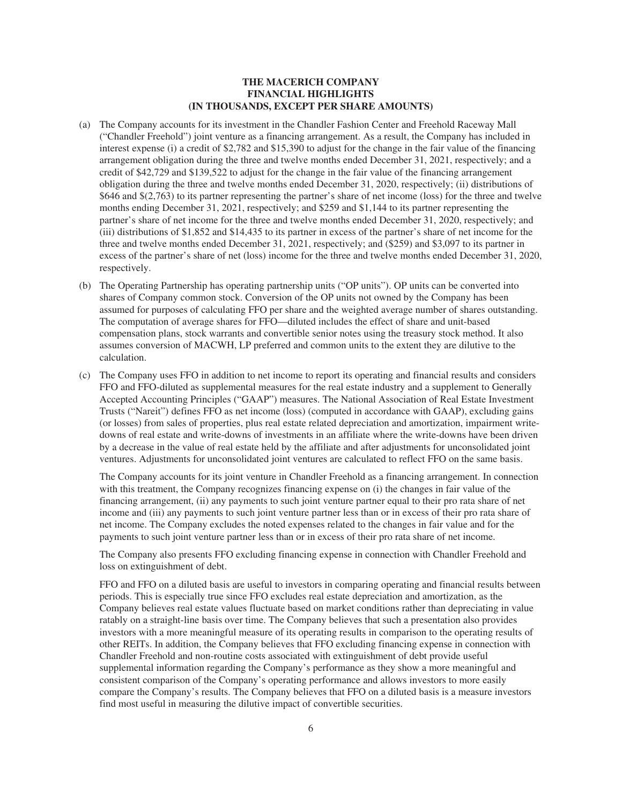- (a) The Company accounts for its investment in the Chandler Fashion Center and Freehold Raceway Mall ("Chandler Freehold") joint venture as a financing arrangement. As a result, the Company has included in interest expense (i) a credit of \$2,782 and \$15,390 to adjust for the change in the fair value of the financing arrangement obligation during the three and twelve months ended December 31, 2021, respectively; and a credit of \$42,729 and \$139,522 to adjust for the change in the fair value of the financing arrangement obligation during the three and twelve months ended December 31, 2020, respectively; (ii) distributions of \$646 and \$(2,763) to its partner representing the partner's share of net income (loss) for the three and twelve months ending December 31, 2021, respectively; and \$259 and \$1,144 to its partner representing the partner's share of net income for the three and twelve months ended December 31, 2020, respectively; and (iii) distributions of \$1,852 and \$14,435 to its partner in excess of the partner's share of net income for the three and twelve months ended December 31, 2021, respectively; and (\$259) and \$3,097 to its partner in excess of the partner's share of net (loss) income for the three and twelve months ended December 31, 2020, respectively.
- (b) The Operating Partnership has operating partnership units ("OP units"). OP units can be converted into shares of Company common stock. Conversion of the OP units not owned by the Company has been assumed for purposes of calculating FFO per share and the weighted average number of shares outstanding. The computation of average shares for FFO—diluted includes the effect of share and unit-based compensation plans, stock warrants and convertible senior notes using the treasury stock method. It also assumes conversion of MACWH, LP preferred and common units to the extent they are dilutive to the calculation.
- (c) The Company uses FFO in addition to net income to report its operating and financial results and considers FFO and FFO-diluted as supplemental measures for the real estate industry and a supplement to Generally Accepted Accounting Principles ("GAAP") measures. The National Association of Real Estate Investment Trusts ("Nareit") defines FFO as net income (loss) (computed in accordance with GAAP), excluding gains (or losses) from sales of properties, plus real estate related depreciation and amortization, impairment writedowns of real estate and write-downs of investments in an affiliate where the write-downs have been driven by a decrease in the value of real estate held by the affiliate and after adjustments for unconsolidated joint ventures. Adjustments for unconsolidated joint ventures are calculated to reflect FFO on the same basis.

The Company accounts for its joint venture in Chandler Freehold as a financing arrangement. In connection with this treatment, the Company recognizes financing expense on (i) the changes in fair value of the financing arrangement, (ii) any payments to such joint venture partner equal to their pro rata share of net income and (iii) any payments to such joint venture partner less than or in excess of their pro rata share of net income. The Company excludes the noted expenses related to the changes in fair value and for the payments to such joint venture partner less than or in excess of their pro rata share of net income.

The Company also presents FFO excluding financing expense in connection with Chandler Freehold and loss on extinguishment of debt.

FFO and FFO on a diluted basis are useful to investors in comparing operating and financial results between periods. This is especially true since FFO excludes real estate depreciation and amortization, as the Company believes real estate values fluctuate based on market conditions rather than depreciating in value ratably on a straight-line basis over time. The Company believes that such a presentation also provides investors with a more meaningful measure of its operating results in comparison to the operating results of other REITs. In addition, the Company believes that FFO excluding financing expense in connection with Chandler Freehold and non-routine costs associated with extinguishment of debt provide useful supplemental information regarding the Company's performance as they show a more meaningful and consistent comparison of the Company's operating performance and allows investors to more easily compare the Company's results. The Company believes that FFO on a diluted basis is a measure investors find most useful in measuring the dilutive impact of convertible securities.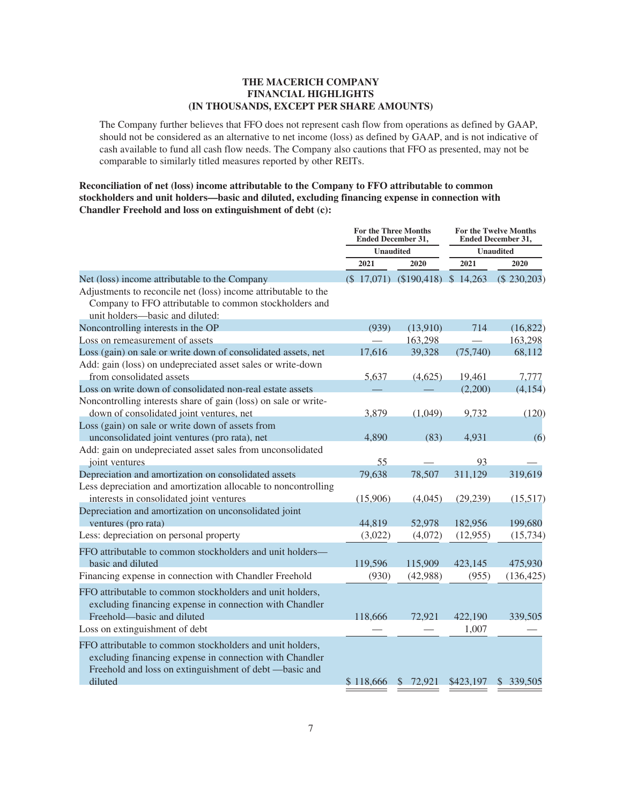The Company further believes that FFO does not represent cash flow from operations as defined by GAAP, should not be considered as an alternative to net income (loss) as defined by GAAP, and is not indicative of cash available to fund all cash flow needs. The Company also cautions that FFO as presented, may not be comparable to similarly titled measures reported by other REITs.

# **Reconciliation of net (loss) income attributable to the Company to FFO attributable to common stockholders and unit holders—basic and diluted, excluding financing expense in connection with Chandler Freehold and loss on extinguishment of debt (c):**

|                                                                                                                                                                                | <b>For the Three Months</b><br><b>Ended December 31,</b> |                                       | <b>For the Twelve Months</b><br><b>Ended December 31,</b> |                  |  |
|--------------------------------------------------------------------------------------------------------------------------------------------------------------------------------|----------------------------------------------------------|---------------------------------------|-----------------------------------------------------------|------------------|--|
|                                                                                                                                                                                | <b>Unaudited</b>                                         |                                       |                                                           | <b>Unaudited</b> |  |
|                                                                                                                                                                                | 2021                                                     | 2020                                  | 2021                                                      | 2020             |  |
| Net (loss) income attributable to the Company                                                                                                                                  |                                                          | $(\$17,071)$ $(\$190,418)$ $\$14,263$ |                                                           | (\$230,203)      |  |
| Adjustments to reconcile net (loss) income attributable to the<br>Company to FFO attributable to common stockholders and<br>unit holders-basic and diluted:                    |                                                          |                                       |                                                           |                  |  |
| Noncontrolling interests in the OP                                                                                                                                             | (939)                                                    | (13,910)                              | 714                                                       | (16, 822)        |  |
| Loss on remeasurement of assets                                                                                                                                                |                                                          | 163,298                               |                                                           | 163,298          |  |
| Loss (gain) on sale or write down of consolidated assets, net                                                                                                                  | 17,616                                                   | 39,328                                | (75,740)                                                  | 68,112           |  |
| Add: gain (loss) on undepreciated asset sales or write-down                                                                                                                    |                                                          |                                       |                                                           |                  |  |
| from consolidated assets                                                                                                                                                       | 5,637                                                    | (4,625)                               | 19,461                                                    | 7,777            |  |
| Loss on write down of consolidated non-real estate assets                                                                                                                      |                                                          |                                       | (2,200)                                                   | (4, 154)         |  |
| Noncontrolling interests share of gain (loss) on sale or write-                                                                                                                |                                                          |                                       |                                                           |                  |  |
| down of consolidated joint ventures, net                                                                                                                                       | 3,879                                                    | (1,049)                               | 9,732                                                     | (120)            |  |
| Loss (gain) on sale or write down of assets from                                                                                                                               |                                                          |                                       |                                                           |                  |  |
| unconsolidated joint ventures (pro rata), net                                                                                                                                  | 4,890                                                    | (83)                                  | 4,931                                                     | (6)              |  |
| Add: gain on undepreciated asset sales from unconsolidated                                                                                                                     |                                                          |                                       |                                                           |                  |  |
| joint ventures                                                                                                                                                                 | 55                                                       |                                       | 93                                                        |                  |  |
| Depreciation and amortization on consolidated assets                                                                                                                           | 79,638                                                   | 78,507                                | 311,129                                                   | 319,619          |  |
| Less depreciation and amortization allocable to noncontrolling                                                                                                                 |                                                          |                                       |                                                           |                  |  |
| interests in consolidated joint ventures                                                                                                                                       | (15,906)                                                 | (4,045)                               | (29, 239)                                                 | (15,517)         |  |
| Depreciation and amortization on unconsolidated joint                                                                                                                          |                                                          |                                       |                                                           |                  |  |
| ventures (pro rata)                                                                                                                                                            | 44,819                                                   | 52,978                                | 182,956                                                   | 199,680          |  |
| Less: depreciation on personal property                                                                                                                                        | (3,022)                                                  | (4,072)                               | (12, 955)                                                 | (15, 734)        |  |
| FFO attributable to common stockholders and unit holders-                                                                                                                      |                                                          |                                       |                                                           |                  |  |
| basic and diluted                                                                                                                                                              | 119,596                                                  | 115,909                               | 423,145                                                   | 475,930          |  |
| Financing expense in connection with Chandler Freehold                                                                                                                         | (930)                                                    | (42,988)                              | (955)                                                     | (136, 425)       |  |
| FFO attributable to common stockholders and unit holders,<br>excluding financing expense in connection with Chandler<br>Freehold—basic and diluted                             | 118,666                                                  | 72.921                                | 422,190                                                   | 339,505          |  |
| Loss on extinguishment of debt                                                                                                                                                 |                                                          |                                       | 1,007                                                     |                  |  |
|                                                                                                                                                                                |                                                          |                                       |                                                           |                  |  |
| FFO attributable to common stockholders and unit holders,<br>excluding financing expense in connection with Chandler<br>Freehold and loss on extinguishment of debt -basic and |                                                          |                                       |                                                           |                  |  |
| diluted                                                                                                                                                                        | \$118,666                                                | \$72,921                              | \$423,197                                                 | \$339,505        |  |
|                                                                                                                                                                                |                                                          |                                       |                                                           |                  |  |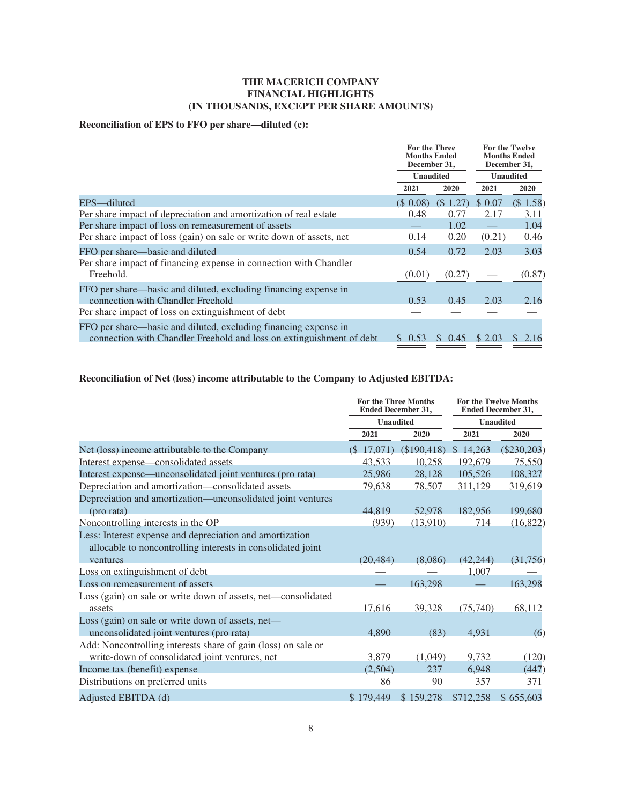# **Reconciliation of EPS to FFO per share—diluted (c):**

|                                                                                                                                         | For the Three<br><b>Months Ended</b><br>December 31, |                       | <b>For the Twelve</b><br><b>Months Ended</b><br>December 31, |             |  |
|-----------------------------------------------------------------------------------------------------------------------------------------|------------------------------------------------------|-----------------------|--------------------------------------------------------------|-------------|--|
|                                                                                                                                         | <b>Unaudited</b>                                     |                       | <b>Unaudited</b>                                             |             |  |
|                                                                                                                                         | 2020<br>2021                                         |                       | 2021                                                         | <b>2020</b> |  |
| EPS—diluted                                                                                                                             | $(S \ 0.08)$                                         | $(S\ 1.27)$           | \$0.07                                                       | (\$1.58)    |  |
| Per share impact of depreciation and amortization of real estate                                                                        | 0.48                                                 | 0.77                  | 2.17                                                         | 3.11        |  |
| Per share impact of loss on remeasurement of assets                                                                                     |                                                      | 1.02                  |                                                              | 1.04        |  |
| Per share impact of loss (gain) on sale or write down of assets, net                                                                    | 0.14                                                 | 0.20                  | (0.21)                                                       | 0.46        |  |
| FFO per share—basic and diluted                                                                                                         | 0.54                                                 | 0.72                  | 2.03                                                         | 3.03        |  |
| Per share impact of financing expense in connection with Chandler<br>Freehold.                                                          | (0.01)                                               | (0.27)                |                                                              | (0.87)      |  |
| FFO per share—basic and diluted, excluding financing expense in<br>connection with Chandler Freehold                                    | 0.53                                                 | 0.45                  | 2.03                                                         | 2.16        |  |
| Per share impact of loss on extinguishment of debt                                                                                      |                                                      |                       |                                                              |             |  |
| FFO per share—basic and diluted, excluding financing expense in<br>connection with Chandler Freehold and loss on extinguishment of debt | 0.53                                                 | 0.45<br><sup>\$</sup> | \$2.03                                                       | 2.16        |  |

# **Reconciliation of Net (loss) income attributable to the Company to Adjusted EBITDA:**

|                                                               | <b>For the Three Months</b><br><b>Ended December 31,</b> |             | <b>Ended December 31,</b> | <b>For the Twelve Months</b> |  |
|---------------------------------------------------------------|----------------------------------------------------------|-------------|---------------------------|------------------------------|--|
|                                                               | <b>Unaudited</b>                                         |             |                           | <b>Unaudited</b>             |  |
|                                                               | 2021                                                     | 2020        | 2021                      | 2020                         |  |
| Net (loss) income attributable to the Company                 | $($ \$ 17,071)                                           | (\$190,418) | \$14,263                  | $(\$230,203)$                |  |
| Interest expense—consolidated assets                          | 43,533                                                   | 10,258      | 192,679                   | 75,550                       |  |
| Interest expense—unconsolidated joint ventures (pro rata)     | 25,986                                                   | 28,128      | 105,526                   | 108,327                      |  |
| Depreciation and amortization-consolidated assets             | 79,638                                                   | 78,507      | 311,129                   | 319,619                      |  |
| Depreciation and amortization—unconsolidated joint ventures   |                                                          |             |                           |                              |  |
| (pro rata)                                                    | 44,819                                                   | 52,978      | 182,956                   | 199,680                      |  |
| Noncontrolling interests in the OP                            | (939)                                                    |             | 714                       | (16, 822)                    |  |
| Less: Interest expense and depreciation and amortization      |                                                          |             |                           |                              |  |
| allocable to noncontrolling interests in consolidated joint   |                                                          |             |                           |                              |  |
| ventures                                                      | (20, 484)                                                | (8,086)     | (42, 244)                 | (31,756)                     |  |
| Loss on extinguishment of debt                                |                                                          |             | 1,007                     |                              |  |
| Loss on remeasurement of assets                               |                                                          | 163,298     |                           | 163,298                      |  |
| Loss (gain) on sale or write down of assets, net—consolidated |                                                          |             |                           |                              |  |
| assets                                                        | 17,616                                                   | 39,328      | (75, 740)                 | 68,112                       |  |
| Loss (gain) on sale or write down of assets, net-             |                                                          |             |                           |                              |  |
| unconsolidated joint ventures (pro rata)                      | 4,890                                                    | (83)        | 4,931                     | (6)                          |  |
| Add: Noncontrolling interests share of gain (loss) on sale or |                                                          |             |                           |                              |  |
| write-down of consolidated joint ventures, net                | 3,879                                                    | (1,049)     | 9,732                     | (120)                        |  |
| Income tax (benefit) expense                                  | (2,504)                                                  | 237         | 6,948                     | (447)                        |  |
| Distributions on preferred units                              | 86                                                       | 90          | 357                       | 371                          |  |
| Adjusted EBITDA (d)                                           | \$179,449                                                | \$159,278   | \$712,258                 | \$655,603                    |  |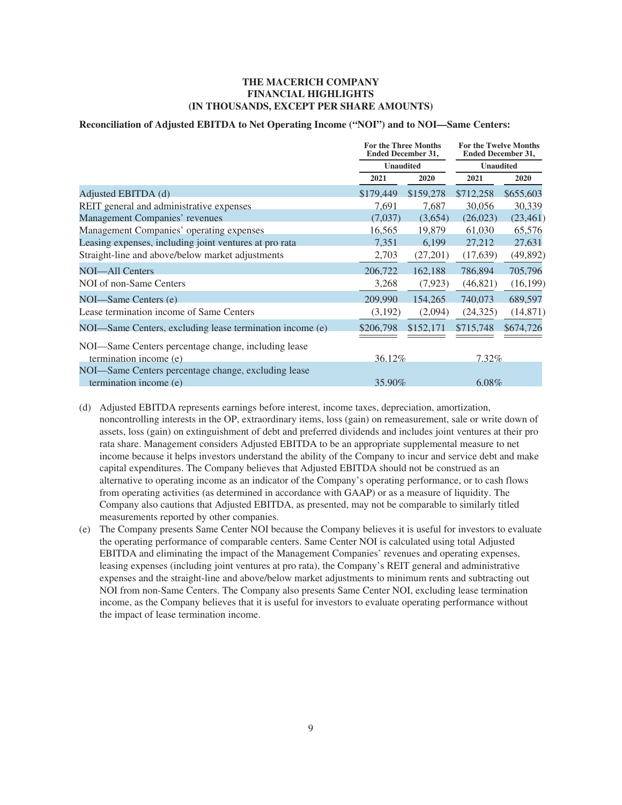#### **Reconciliation of Adjusted EBITDA to Net Operating Income ("NOI") and to NOI—Same Centers:**

|                                                          | <b>For the Three Months</b><br><b>Ended December 31,</b><br><b>Unaudited</b> |           | <b>For the Twelve Months</b><br><b>Ended December 31,</b><br><b>Unaudited</b> |           |
|----------------------------------------------------------|------------------------------------------------------------------------------|-----------|-------------------------------------------------------------------------------|-----------|
|                                                          |                                                                              |           |                                                                               |           |
|                                                          | 2021                                                                         | 2020      | 2021                                                                          | 2020      |
| Adjusted EBITDA (d)                                      | \$179,449                                                                    | \$159,278 | \$712,258                                                                     | \$655,603 |
| REIT general and administrative expenses                 | 7,691                                                                        | 7,687     | 30,056                                                                        | 30,339    |
| Management Companies' revenues                           | (7,037)                                                                      | (3,654)   | (26,023)                                                                      | (23, 461) |
| Management Companies' operating expenses                 | 16,565                                                                       | 19,879    | 61,030                                                                        | 65,576    |
| Leasing expenses, including joint ventures at pro rata   | 7,351                                                                        | 6,199     | 27,212                                                                        | 27,631    |
| Straight-line and above/below market adjustments         | 2,703                                                                        | (27,201)  | (17, 639)                                                                     | (49, 892) |
| NOI—All Centers                                          | 206,722                                                                      | 162,188   | 786,894                                                                       | 705,796   |
| NOI of non-Same Centers                                  | 3,268                                                                        | (7, 923)  | (46,821)                                                                      | (16, 199) |
| NOI—Same Centers (e)                                     | 209,990                                                                      | 154,265   | 740,073                                                                       | 689,597   |
| Lease termination income of Same Centers                 | (3,192)                                                                      | (2,094)   | (24, 325)                                                                     | (14, 871) |
| NOI—Same Centers, excluding lease termination income (e) | \$206,798                                                                    | \$152,171 | \$715,748                                                                     | \$674,726 |
| NOI—Same Centers percentage change, including lease      |                                                                              |           |                                                                               |           |
| termination income (e)                                   | 36.12%                                                                       |           | 7.32%                                                                         |           |
| NOI—Same Centers percentage change, excluding lease      |                                                                              |           |                                                                               |           |
| termination income (e)                                   | 35.90%                                                                       |           | 6.08%                                                                         |           |

- (d) Adjusted EBITDA represents earnings before interest, income taxes, depreciation, amortization, noncontrolling interests in the OP, extraordinary items, loss (gain) on remeasurement, sale or write down of assets, loss (gain) on extinguishment of debt and preferred dividends and includes joint ventures at their pro rata share. Management considers Adjusted EBITDA to be an appropriate supplemental measure to net income because it helps investors understand the ability of the Company to incur and service debt and make capital expenditures. The Company believes that Adjusted EBITDA should not be construed as an alternative to operating income as an indicator of the Company's operating performance, or to cash flows from operating activities (as determined in accordance with GAAP) or as a measure of liquidity. The Company also cautions that Adjusted EBITDA, as presented, may not be comparable to similarly titled measurements reported by other companies.
- (e) The Company presents Same Center NOI because the Company believes it is useful for investors to evaluate the operating performance of comparable centers. Same Center NOI is calculated using total Adjusted EBITDA and eliminating the impact of the Management Companies' revenues and operating expenses, leasing expenses (including joint ventures at pro rata), the Company's REIT general and administrative expenses and the straight-line and above/below market adjustments to minimum rents and subtracting out NOI from non-Same Centers. The Company also presents Same Center NOI, excluding lease termination income, as the Company believes that it is useful for investors to evaluate operating performance without the impact of lease termination income.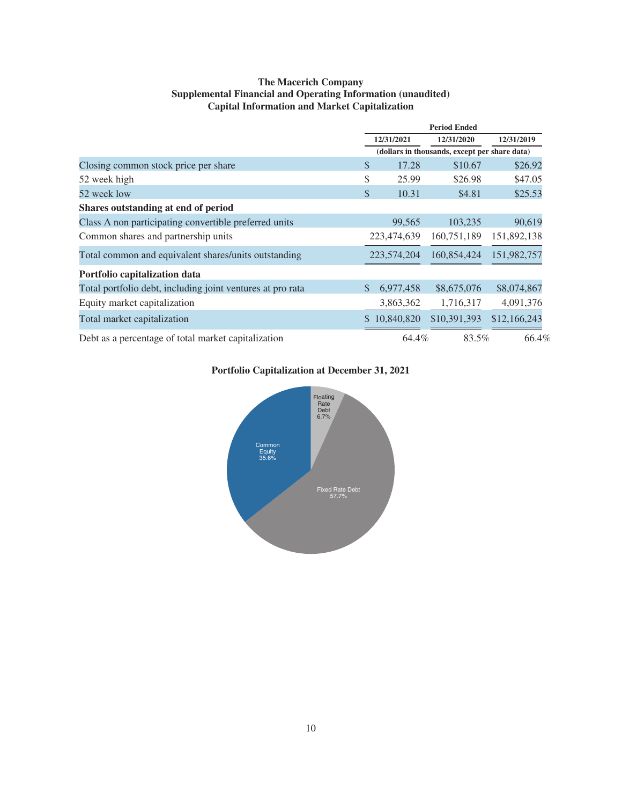# **The Macerich Company Supplemental Financial and Operating Information (unaudited) Capital Information and Market Capitalization**

|                                                            | <b>Period Ended</b>                           |              |              |              |
|------------------------------------------------------------|-----------------------------------------------|--------------|--------------|--------------|
|                                                            | 12/31/2021                                    |              | 12/31/2020   | 12/31/2019   |
|                                                            | (dollars in thousands, except per share data) |              |              |              |
| Closing common stock price per share                       | \$                                            | 17.28        | \$10.67      | \$26.92      |
| 52 week high                                               | \$                                            | 25.99        | \$26.98      | \$47.05      |
| 52 week low                                                | $\mathbb{S}$                                  | 10.31        | \$4.81       | \$25.53      |
| Shares outstanding at end of period                        |                                               |              |              |              |
| Class A non participating convertible preferred units      |                                               | 99,565       | 103,235      | 90,619       |
| Common shares and partnership units                        |                                               | 223,474,639  | 160,751,189  | 151,892,138  |
| Total common and equivalent shares/units outstanding       |                                               | 223,574,204  | 160,854,424  | 151,982,757  |
| Portfolio capitalization data                              |                                               |              |              |              |
| Total portfolio debt, including joint ventures at pro rata | \$                                            | 6,977,458    | \$8,675,076  | \$8,074,867  |
| Equity market capitalization                               |                                               | 3,863,362    | 1,716,317    | 4,091,376    |
| Total market capitalization                                |                                               | \$10,840,820 | \$10,391,393 | \$12,166,243 |
| Debt as a percentage of total market capitalization        |                                               | 64.4%        | 83.5%        | 66.4%        |

# **Portfolio Capitalization at December 31, 2021**

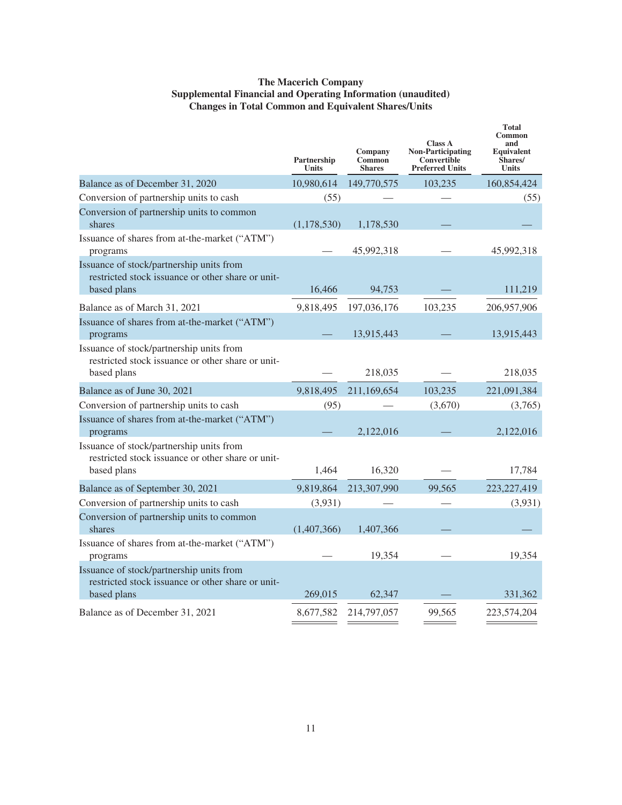# **The Macerich Company Supplemental Financial and Operating Information (unaudited) Changes in Total Common and Equivalent Shares/Units**

|                                                                                                              | Partnership<br><b>Units</b> | Company<br>Common<br><b>Shares</b> | <b>Class A</b><br><b>Non-Participating</b><br>Convertible<br><b>Preferred Units</b> | <b>Total</b><br>Common<br>and<br>Equivalent<br>Shares/<br><b>Units</b> |
|--------------------------------------------------------------------------------------------------------------|-----------------------------|------------------------------------|-------------------------------------------------------------------------------------|------------------------------------------------------------------------|
| Balance as of December 31, 2020                                                                              | 10,980,614                  | 149,770,575                        | 103,235                                                                             | 160,854,424                                                            |
| Conversion of partnership units to cash                                                                      | (55)                        |                                    |                                                                                     | (55)                                                                   |
| Conversion of partnership units to common<br>shares                                                          | (1, 178, 530)               | 1,178,530                          |                                                                                     |                                                                        |
| Issuance of shares from at-the-market ("ATM")<br>programs                                                    |                             | 45,992,318                         |                                                                                     | 45,992,318                                                             |
| Issuance of stock/partnership units from<br>restricted stock issuance or other share or unit-<br>based plans | 16,466                      | 94,753                             |                                                                                     | 111,219                                                                |
| Balance as of March 31, 2021                                                                                 | 9,818,495                   | 197,036,176                        | 103,235                                                                             | 206,957,906                                                            |
| Issuance of shares from at-the-market ("ATM")<br>programs                                                    |                             | 13,915,443                         |                                                                                     | 13,915,443                                                             |
| Issuance of stock/partnership units from<br>restricted stock issuance or other share or unit-<br>based plans |                             | 218,035                            |                                                                                     | 218,035                                                                |
| Balance as of June 30, 2021                                                                                  | 9,818,495                   | 211,169,654                        | 103,235                                                                             | 221,091,384                                                            |
| Conversion of partnership units to cash                                                                      | (95)                        |                                    | (3,670)                                                                             | (3,765)                                                                |
| Issuance of shares from at-the-market ("ATM")<br>programs                                                    |                             | 2,122,016                          |                                                                                     | 2,122,016                                                              |
| Issuance of stock/partnership units from<br>restricted stock issuance or other share or unit-<br>based plans | 1,464                       | 16,320                             |                                                                                     | 17,784                                                                 |
| Balance as of September 30, 2021                                                                             | 9,819,864                   | 213,307,990                        | 99.565                                                                              | 223, 227, 419                                                          |
| Conversion of partnership units to cash                                                                      | (3,931)                     |                                    |                                                                                     | (3,931)                                                                |
| Conversion of partnership units to common<br>shares                                                          | (1,407,366)                 | 1,407,366                          |                                                                                     |                                                                        |
| Issuance of shares from at-the-market ("ATM")<br>programs                                                    |                             | 19,354                             |                                                                                     | 19,354                                                                 |
| Issuance of stock/partnership units from<br>restricted stock issuance or other share or unit-<br>based plans | 269,015                     | 62,347                             |                                                                                     | 331,362                                                                |
| Balance as of December 31, 2021                                                                              | 8,677,582                   | 214,797,057                        | 99,565                                                                              | 223,574,204                                                            |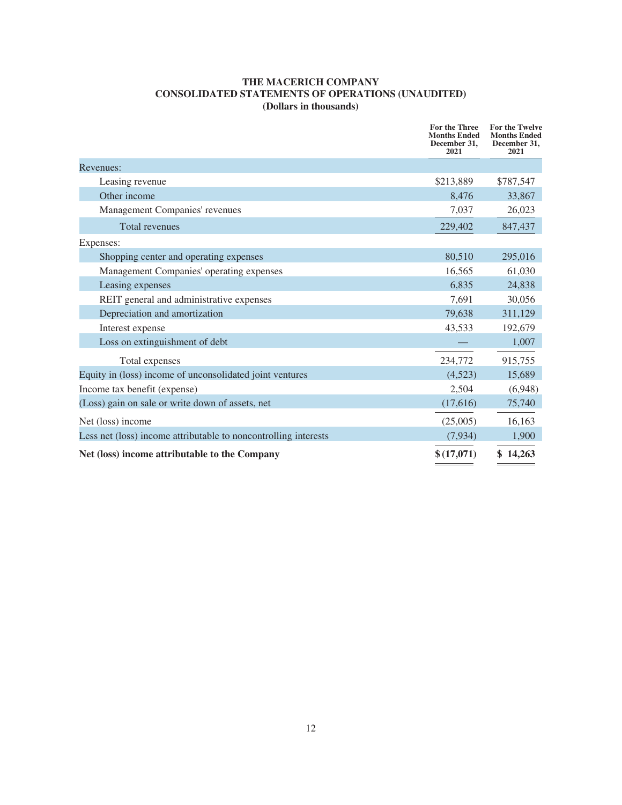# **THE MACERICH COMPANY CONSOLIDATED STATEMENTS OF OPERATIONS (UNAUDITED) (Dollars in thousands)**

|                                                                 | <b>For the Three</b><br><b>Months Ended</b><br>December 31,<br>2021 | For the Twelve<br><b>Months Ended</b><br>December 31,<br>2021 |
|-----------------------------------------------------------------|---------------------------------------------------------------------|---------------------------------------------------------------|
| Revenues:                                                       |                                                                     |                                                               |
| Leasing revenue                                                 | \$213,889                                                           | \$787,547                                                     |
| Other income                                                    | 8,476                                                               | 33,867                                                        |
| Management Companies' revenues                                  | 7,037                                                               | 26,023                                                        |
| <b>Total revenues</b>                                           | 229,402                                                             | 847,437                                                       |
| Expenses:                                                       |                                                                     |                                                               |
| Shopping center and operating expenses                          | 80,510                                                              | 295,016                                                       |
| Management Companies' operating expenses                        | 16,565                                                              | 61,030                                                        |
| Leasing expenses                                                | 6,835                                                               | 24,838                                                        |
| REIT general and administrative expenses                        | 7.691                                                               | 30,056                                                        |
| Depreciation and amortization                                   | 79,638                                                              | 311,129                                                       |
| Interest expense                                                | 43,533                                                              | 192,679                                                       |
| Loss on extinguishment of debt                                  |                                                                     | 1,007                                                         |
| Total expenses                                                  | 234,772                                                             | 915,755                                                       |
| Equity in (loss) income of unconsolidated joint ventures        | (4,523)                                                             | 15,689                                                        |
| Income tax benefit (expense)                                    | 2,504                                                               | (6,948)                                                       |
| (Loss) gain on sale or write down of assets, net                | (17,616)                                                            | 75,740                                                        |
| Net (loss) income                                               | (25,005)                                                            | 16,163                                                        |
| Less net (loss) income attributable to noncontrolling interests | (7,934)                                                             | 1,900                                                         |
| Net (loss) income attributable to the Company                   | \$(17,071)                                                          | \$14,263                                                      |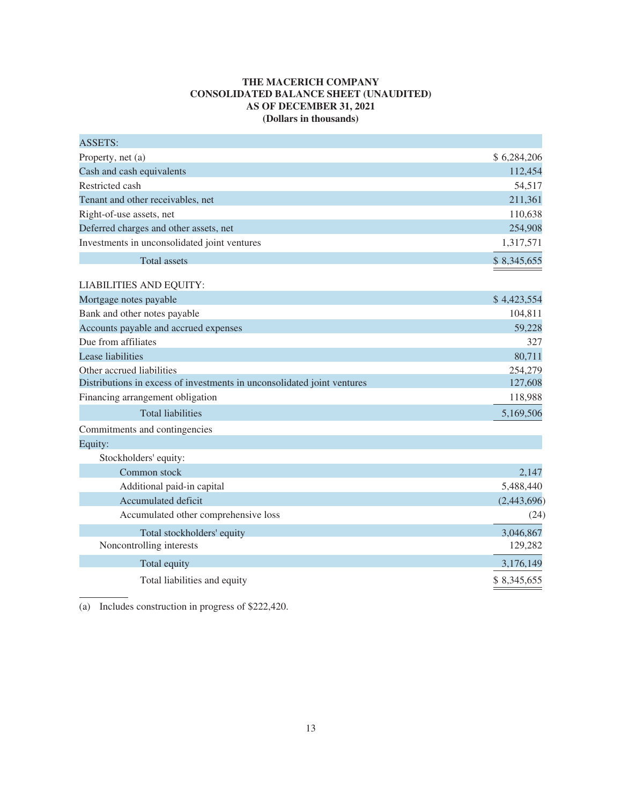# **THE MACERICH COMPANY CONSOLIDATED BALANCE SHEET (UNAUDITED) AS OF DECEMBER 31, 2021 (Dollars in thousands)**

| <b>ASSETS:</b>                                                          |             |
|-------------------------------------------------------------------------|-------------|
| Property, net (a)                                                       | \$6,284,206 |
| Cash and cash equivalents                                               | 112,454     |
| Restricted cash                                                         | 54,517      |
| Tenant and other receivables, net                                       | 211,361     |
| Right-of-use assets, net                                                | 110,638     |
| Deferred charges and other assets, net                                  | 254,908     |
| Investments in unconsolidated joint ventures                            | 1,317,571   |
| <b>Total assets</b>                                                     | \$8,345,655 |
|                                                                         |             |
| <b>LIABILITIES AND EQUITY:</b>                                          |             |
| Mortgage notes payable                                                  | \$4,423,554 |
| Bank and other notes payable                                            | 104,811     |
| Accounts payable and accrued expenses                                   | 59,228      |
| Due from affiliates                                                     | 327         |
| Lease liabilities                                                       | 80,711      |
| Other accrued liabilities                                               | 254,279     |
| Distributions in excess of investments in unconsolidated joint ventures | 127,608     |
| Financing arrangement obligation                                        | 118,988     |
| <b>Total liabilities</b>                                                | 5,169,506   |
| Commitments and contingencies                                           |             |
| Equity:                                                                 |             |
| Stockholders' equity:                                                   |             |
| Common stock                                                            | 2,147       |
| Additional paid-in capital                                              | 5,488,440   |
| Accumulated deficit                                                     | (2,443,696) |
| Accumulated other comprehensive loss                                    | (24)        |
| Total stockholders' equity                                              | 3,046,867   |
| Noncontrolling interests                                                | 129,282     |
| Total equity                                                            | 3,176,149   |
| Total liabilities and equity                                            | \$8,345,655 |

(a) Includes construction in progress of \$222,420.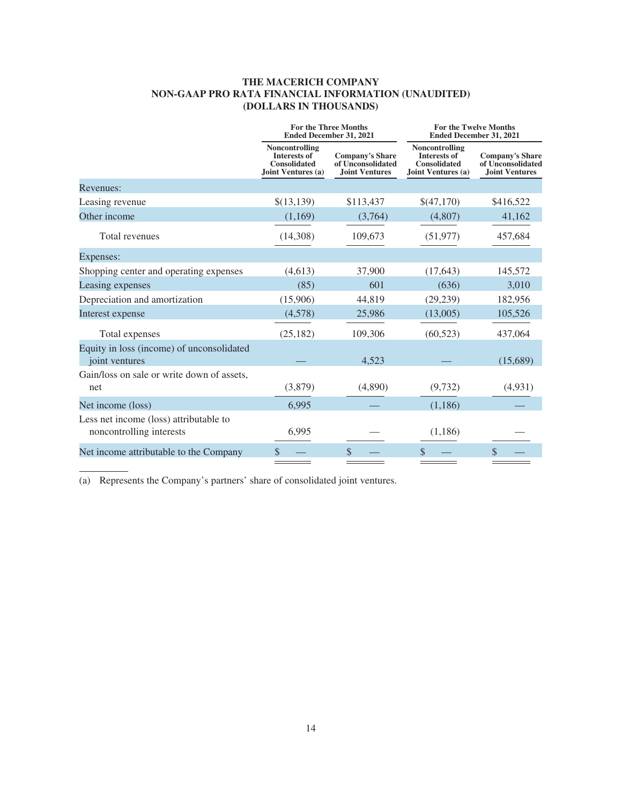# **THE MACERICH COMPANY NON-GAAP PRO RATA FINANCIAL INFORMATION (UNAUDITED) (DOLLARS IN THOUSANDS)**

|                                                                    | <b>For the Three Months</b><br><b>Ended December 31, 2021</b>                      |                                                                      | <b>Ended December 31, 2021</b>                                                     | <b>For the Twelve Months</b>                                         |
|--------------------------------------------------------------------|------------------------------------------------------------------------------------|----------------------------------------------------------------------|------------------------------------------------------------------------------------|----------------------------------------------------------------------|
|                                                                    | Noncontrolling<br><b>Interests of</b><br><b>Consolidated</b><br>Joint Ventures (a) | <b>Company's Share</b><br>of Unconsolidated<br><b>Joint Ventures</b> | Noncontrolling<br><b>Interests of</b><br><b>Consolidated</b><br>Joint Ventures (a) | <b>Company's Share</b><br>of Unconsolidated<br><b>Joint Ventures</b> |
| Revenues:                                                          |                                                                                    |                                                                      |                                                                                    |                                                                      |
| Leasing revenue                                                    | \$(13,139)                                                                         | \$113,437                                                            | \$(47,170)                                                                         | \$416,522                                                            |
| Other income                                                       | (1,169)                                                                            | (3,764)                                                              | (4,807)                                                                            | 41,162                                                               |
| Total revenues                                                     | (14,308)                                                                           | 109,673                                                              | (51, 977)                                                                          | 457,684                                                              |
| Expenses:                                                          |                                                                                    |                                                                      |                                                                                    |                                                                      |
| Shopping center and operating expenses                             | (4,613)                                                                            | 37,900                                                               | (17, 643)                                                                          | 145,572                                                              |
| Leasing expenses                                                   | (85)                                                                               | 601                                                                  | (636)                                                                              | 3,010                                                                |
| Depreciation and amortization                                      | (15,906)                                                                           | 44,819                                                               | (29, 239)                                                                          | 182,956                                                              |
| Interest expense                                                   | (4,578)                                                                            | 25,986                                                               | (13,005)                                                                           | 105,526                                                              |
| Total expenses                                                     | (25, 182)                                                                          | 109,306                                                              | (60, 523)                                                                          | 437,064                                                              |
| Equity in loss (income) of unconsolidated<br>joint ventures        |                                                                                    | 4,523                                                                |                                                                                    | (15,689)                                                             |
| Gain/loss on sale or write down of assets,<br>net                  | (3,879)                                                                            | (4,890)                                                              | (9,732)                                                                            | (4,931)                                                              |
| Net income (loss)                                                  | 6,995                                                                              |                                                                      | (1,186)                                                                            |                                                                      |
| Less net income (loss) attributable to<br>noncontrolling interests | 6,995                                                                              |                                                                      | (1, 186)                                                                           |                                                                      |
| Net income attributable to the Company                             | \$                                                                                 | $\mathcal{S}$                                                        | \$                                                                                 | \$                                                                   |

(a) Represents the Company's partners' share of consolidated joint ventures.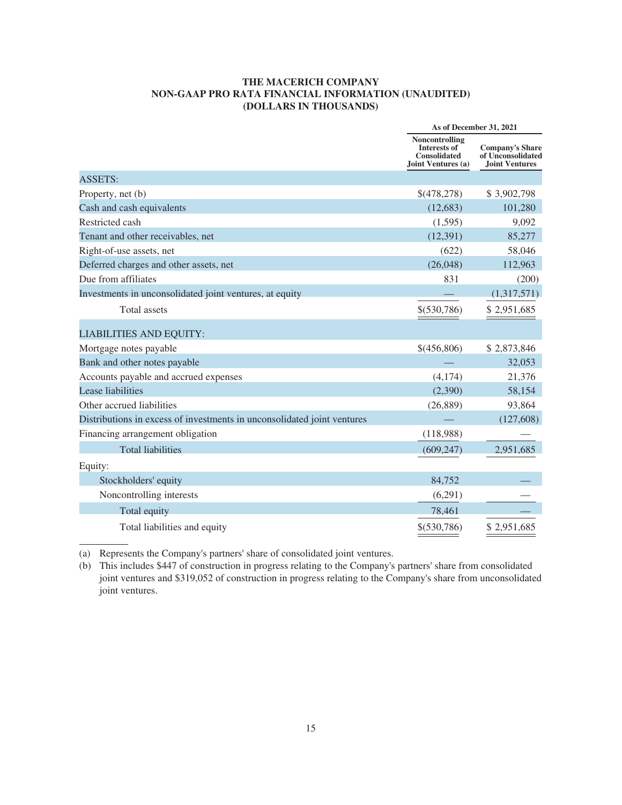### **THE MACERICH COMPANY NON-GAAP PRO RATA FINANCIAL INFORMATION (UNAUDITED) (DOLLARS IN THOUSANDS)**

|                                                                         | As of December 31, 2021                                                            |                                                                      |
|-------------------------------------------------------------------------|------------------------------------------------------------------------------------|----------------------------------------------------------------------|
|                                                                         | Noncontrolling<br><b>Interests of</b><br><b>Consolidated</b><br>Joint Ventures (a) | <b>Company's Share</b><br>of Unconsolidated<br><b>Joint Ventures</b> |
| <b>ASSETS:</b>                                                          |                                                                                    |                                                                      |
| Property, net (b)                                                       | \$(478,278)                                                                        | \$3,902,798                                                          |
| Cash and cash equivalents                                               | (12, 683)                                                                          | 101,280                                                              |
| Restricted cash                                                         | (1,595)                                                                            | 9,092                                                                |
| Tenant and other receivables, net                                       | (12, 391)                                                                          | 85,277                                                               |
| Right-of-use assets, net                                                | (622)                                                                              | 58,046                                                               |
| Deferred charges and other assets, net                                  | (26,048)                                                                           | 112,963                                                              |
| Due from affiliates                                                     | 831                                                                                | (200)                                                                |
| Investments in unconsolidated joint ventures, at equity                 |                                                                                    | (1,317,571)                                                          |
| Total assets                                                            | \$(530,786)                                                                        | \$2,951,685                                                          |
| <b>LIABILITIES AND EQUITY:</b>                                          |                                                                                    |                                                                      |
| Mortgage notes payable                                                  | \$(456,806)                                                                        | \$2,873,846                                                          |
| Bank and other notes payable                                            |                                                                                    | 32,053                                                               |
| Accounts payable and accrued expenses                                   | (4,174)                                                                            | 21,376                                                               |
| Lease liabilities                                                       | (2,390)                                                                            | 58,154                                                               |
| Other accrued liabilities                                               | (26, 889)                                                                          | 93,864                                                               |
| Distributions in excess of investments in unconsolidated joint ventures |                                                                                    | (127, 608)                                                           |
| Financing arrangement obligation                                        | (118,988)                                                                          |                                                                      |
| <b>Total liabilities</b>                                                | (609, 247)                                                                         | 2,951,685                                                            |
| Equity:                                                                 |                                                                                    |                                                                      |
| Stockholders' equity                                                    | 84,752                                                                             |                                                                      |
| Noncontrolling interests                                                | (6,291)                                                                            |                                                                      |
| Total equity                                                            | 78,461                                                                             |                                                                      |
| Total liabilities and equity                                            | \$ (530, 786)                                                                      | \$2,951,685                                                          |

(a) Represents the Company's partners' share of consolidated joint ventures.

(b) This includes \$447 of construction in progress relating to the Company's partners' share from consolidated joint ventures and \$319,052 of construction in progress relating to the Company's share from unconsolidated joint ventures.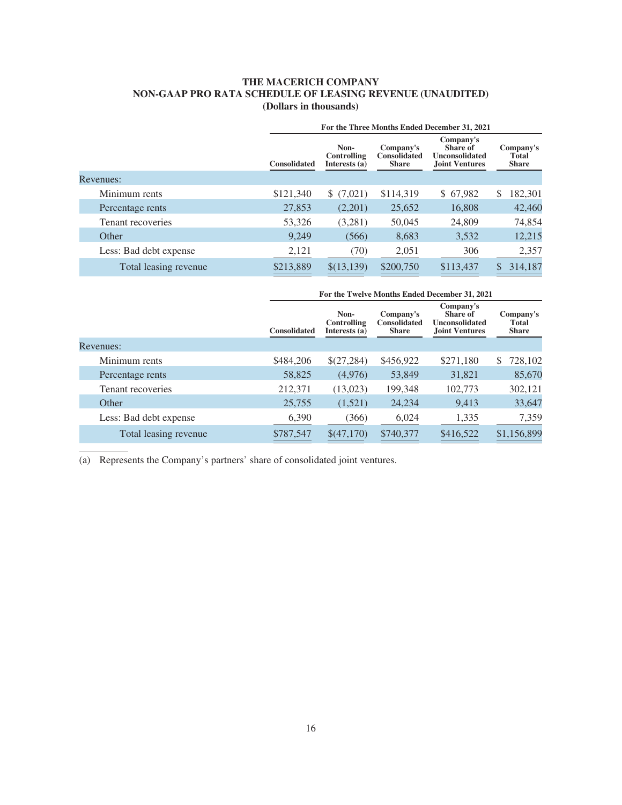# **THE MACERICH COMPANY NON-GAAP PRO RATA SCHEDULE OF LEASING REVENUE (UNAUDITED) (Dollars in thousands)**

|                        | For the Three Months Ended December 31, 2021 |                                             |                                                  |                                                                  |                                    |
|------------------------|----------------------------------------------|---------------------------------------------|--------------------------------------------------|------------------------------------------------------------------|------------------------------------|
|                        | <b>Consolidated</b>                          | Non-<br><b>Controlling</b><br>Interests (a) | Company's<br><b>Consolidated</b><br><b>Share</b> | Company's<br>Share of<br>Unconsolidated<br><b>Joint Ventures</b> | Company's<br>Total<br><b>Share</b> |
| Revenues:              |                                              |                                             |                                                  |                                                                  |                                    |
| Minimum rents          | \$121,340                                    | \$(7,021)                                   | \$114,319                                        | \$67,982                                                         | 182,301<br>S                       |
| Percentage rents       | 27,853                                       | (2,201)                                     | 25,652                                           | 16,808                                                           | 42,460                             |
| Tenant recoveries      | 53,326                                       | (3,281)                                     | 50,045                                           | 24,809                                                           | 74,854                             |
| Other                  | 9,249                                        | (566)                                       | 8,683                                            | 3,532                                                            | 12,215                             |
| Less: Bad debt expense | 2,121                                        | (70)                                        | 2,051                                            | 306                                                              | 2,357                              |
| Total leasing revenue  | \$213,889                                    | \$(13,139)                                  | \$200,750                                        | \$113,437                                                        | 314,187                            |

|           |                        | For the Twelve Months Ended December 31, 2021 |                                      |                                                  |                                                                         |                                    |
|-----------|------------------------|-----------------------------------------------|--------------------------------------|--------------------------------------------------|-------------------------------------------------------------------------|------------------------------------|
|           |                        | <b>Consolidated</b>                           | Non-<br>Controlling<br>Interests (a) | Company's<br><b>Consolidated</b><br><b>Share</b> | Company's<br>Share of<br><b>Unconsolidated</b><br><b>Joint Ventures</b> | Company's<br>Total<br><b>Share</b> |
| Revenues: |                        |                                               |                                      |                                                  |                                                                         |                                    |
|           | Minimum rents          | \$484,206                                     | \$(27,284)                           | \$456,922                                        | \$271,180                                                               | 728,102<br>S.                      |
|           | Percentage rents       | 58,825                                        | (4,976)                              | 53,849                                           | 31,821                                                                  | 85,670                             |
|           | Tenant recoveries      | 212,371                                       | (13,023)                             | 199,348                                          | 102,773                                                                 | 302,121                            |
|           | Other                  | 25,755                                        | (1,521)                              | 24,234                                           | 9,413                                                                   | 33,647                             |
|           | Less: Bad debt expense | 6,390                                         | (366)                                | 6,024                                            | 1,335                                                                   | 7,359                              |
|           | Total leasing revenue  | \$787,547                                     | \$(47,170)                           | \$740,377                                        | \$416,522                                                               | \$1,156,899                        |

(a) Represents the Company's partners' share of consolidated joint ventures.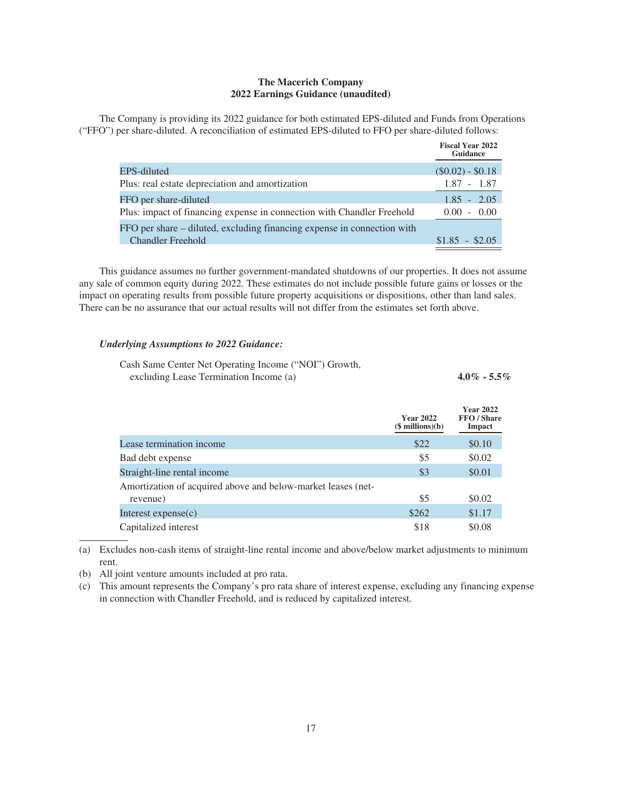### **The Macerich Company 2022 Earnings Guidance (unaudited)**

The Company is providing its 2022 guidance for both estimated EPS-diluted and Funds from Operations ("FFO") per share-diluted. A reconciliation of estimated EPS-diluted to FFO per share-diluted follows:

|                                                                         | <b>Fiscal Year 2022</b><br><b>Guidance</b> |
|-------------------------------------------------------------------------|--------------------------------------------|
| EPS-diluted                                                             | $(\$0.02) - \$0.18$                        |
| Plus: real estate depreciation and amortization                         | $1.87 - 1.87$                              |
| FFO per share-diluted                                                   | $1.85 - 2.05$                              |
| Plus: impact of financing expense in connection with Chandler Freehold  | $0.00 - 0.00$                              |
| FFO per share – diluted, excluding financing expense in connection with |                                            |
| <b>Chandler Freehold</b>                                                | $$1.85 - $2.05$                            |

This guidance assumes no further government-mandated shutdowns of our properties. It does not assume any sale of common equity during 2022. These estimates do not include possible future gains or losses or the impact on operating results from possible future property acquisitions or dispositions, other than land sales. There can be no assurance that our actual results will not differ from the estimates set forth above.

#### *Underlying Assumptions to 2022 Guidance:*

| Cash Same Center Net Operating Income ("NOI") Growth, |                 |
|-------------------------------------------------------|-----------------|
| excluding Lease Termination Income (a)                | $4.0\% - 5.5\%$ |

|                                                              | <b>Year 2022</b><br>$($$ millions $)(b)$ | <b>Year 2022</b><br>FFO / Share<br>Impact |
|--------------------------------------------------------------|------------------------------------------|-------------------------------------------|
| Lease termination income                                     | \$22                                     | \$0.10                                    |
| Bad debt expense                                             | \$5                                      | \$0.02                                    |
| Straight-line rental income                                  | \$3                                      | \$0.01                                    |
| Amortization of acquired above and below-market leases (net- |                                          |                                           |
| revenue)                                                     | \$5                                      | \$0.02                                    |
| Interest $expense(c)$                                        | \$262                                    | \$1.17                                    |
| Capitalized interest                                         | \$18                                     | \$0.08                                    |

(a) Excludes non-cash items of straight-line rental income and above/below market adjustments to minimum rent.

(b) All joint venture amounts included at pro rata.

(c) This amount represents the Company's pro rata share of interest expense, excluding any financing expense in connection with Chandler Freehold, and is reduced by capitalized interest.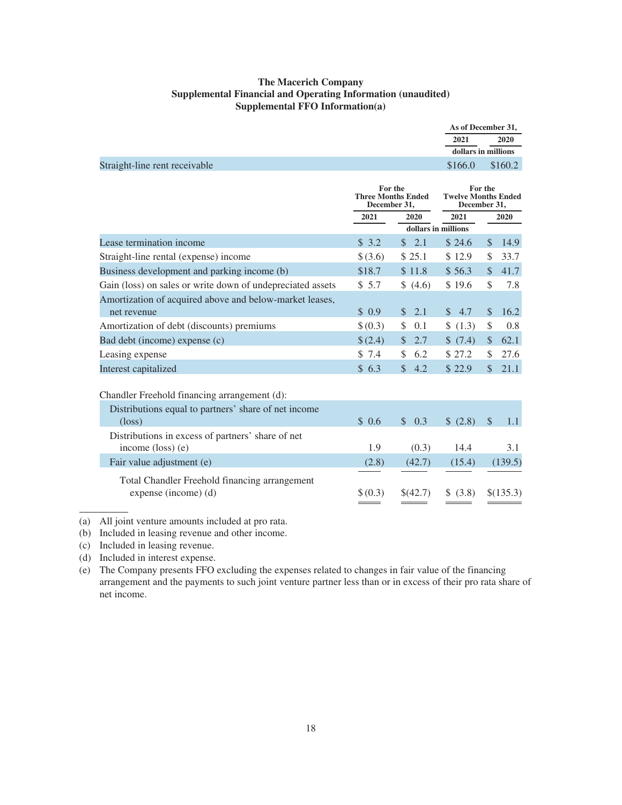## **The Macerich Company Supplemental Financial and Operating Information (unaudited) Supplemental FFO Information(a)**

|                                                            |                         |                           |                     | As of December 31,                                    |
|------------------------------------------------------------|-------------------------|---------------------------|---------------------|-------------------------------------------------------|
|                                                            |                         |                           | 2021                | 2020                                                  |
|                                                            |                         |                           |                     | dollars in millions                                   |
| Straight-line rent receivable                              |                         |                           | \$166.0             | \$160.2                                               |
|                                                            | For the<br>December 31, | <b>Three Months Ended</b> |                     | For the<br><b>Twelve Months Ended</b><br>December 31, |
|                                                            | 2021                    | 2020                      | 2021                | 2020                                                  |
|                                                            |                         |                           | dollars in millions |                                                       |
| Lease termination income                                   | \$3.2                   | 2.1<br>$\mathbb{S}^-$     | \$24.6              | $\mathbb{S}$<br>14.9                                  |
| Straight-line rental (expense) income                      | \$(3.6)                 | \$25.1                    | \$12.9              | 33.7<br>\$                                            |
| Business development and parking income (b)                | \$18.7                  | \$11.8                    | \$56.3              | 41.7<br>$\mathcal{S}$                                 |
| Gain (loss) on sales or write down of undepreciated assets | \$5.7                   | \$(4.6)                   | \$19.6              | \$<br>7.8                                             |
| Amortization of acquired above and below-market leases,    |                         |                           |                     |                                                       |
| net revenue                                                | \$0.9                   | 2.1<br>$\mathbb{S}$       | \$4.7               | $\mathbb{S}$<br>16.2                                  |
| Amortization of debt (discounts) premiums                  | \$(0.3)                 | \$<br>0.1                 | \$(1.3)             | \$<br>0.8                                             |
| Bad debt (income) expense (c)                              | \$(2.4)                 | 2.7<br>$\mathbb{S}$       | \$(7.4)             | 62.1<br>\$                                            |
| Leasing expense                                            | \$7.4                   | \$<br>6.2                 | \$27.2              | 27.6<br>\$                                            |
| Interest capitalized                                       | \$6.3                   | $\mathcal{S}$<br>4.2      | \$22.9              | 21.1<br>$\mathcal{S}$                                 |
|                                                            |                         |                           |                     |                                                       |
| Chandler Freehold financing arrangement (d):               |                         |                           |                     |                                                       |
| Distributions equal to partners' share of net income       |                         |                           |                     |                                                       |
| $(\text{loss})$                                            | \$0.6                   | $\mathcal{S}$<br>0.3      | \$ (2.8)            | 1.1<br><sup>\$</sup>                                  |
| Distributions in excess of partners' share of net          |                         |                           |                     |                                                       |
| income (loss) (e)                                          | 1.9                     | (0.3)                     | 14.4                | 3.1                                                   |
| Fair value adjustment (e)                                  | (2.8)                   | (42.7)                    | (15.4)              | (139.5)                                               |
| Total Chandler Freehold financing arrangement              |                         |                           |                     |                                                       |

expense (income) (d)  $\{(0.3) \quad \{(42.7) \quad \{(3.8) \quad \{(135.3)\}\}$ 

(a) All joint venture amounts included at pro rata.

(b) Included in leasing revenue and other income.

(c) Included in leasing revenue.

(d) Included in interest expense.

(e) The Company presents FFO excluding the expenses related to changes in fair value of the financing arrangement and the payments to such joint venture partner less than or in excess of their pro rata share of net income.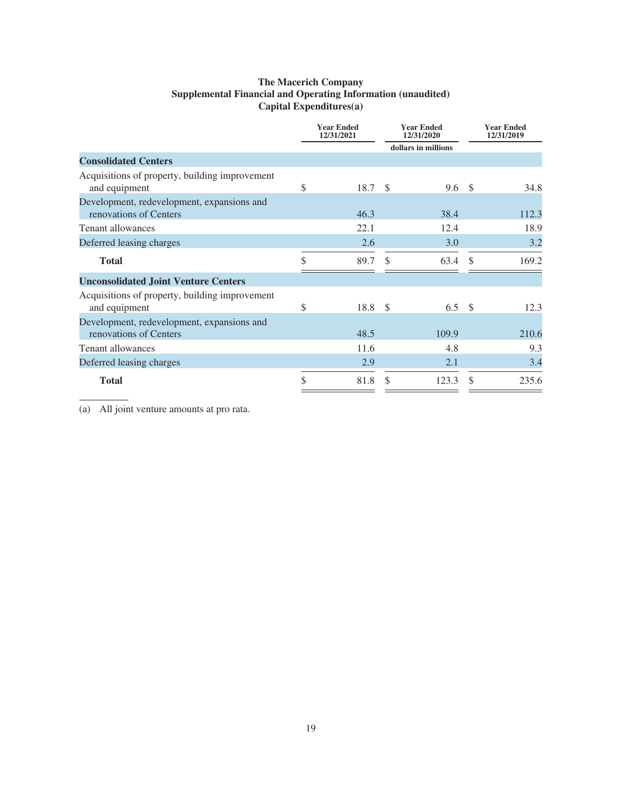# **The Macerich Company Supplemental Financial and Operating Information (unaudited) Capital Expenditures(a)**

|                                                                      | <b>Year Ended</b><br>12/31/2021 |     | <b>Year Ended</b><br>12/31/2020 |               | <b>Year Ended</b><br>12/31/2019 |
|----------------------------------------------------------------------|---------------------------------|-----|---------------------------------|---------------|---------------------------------|
|                                                                      |                                 |     | dollars in millions             |               |                                 |
| <b>Consolidated Centers</b>                                          |                                 |     |                                 |               |                                 |
| Acquisitions of property, building improvement<br>and equipment      | \$<br>18.7                      | -S  | 9.6                             | - \$          | 34.8                            |
| Development, redevelopment, expansions and<br>renovations of Centers | 46.3                            |     | 38.4                            |               | 112.3                           |
| <b>Tenant allowances</b>                                             | 22.1                            |     | 12.4                            |               | 18.9                            |
| Deferred leasing charges                                             | 2.6                             |     | 3.0                             |               | 3.2                             |
| <b>Total</b>                                                         | \$<br>89.7                      | \$. | 63.4                            | $\mathcal{S}$ | 169.2                           |
| <b>Unconsolidated Joint Venture Centers</b>                          |                                 |     |                                 |               |                                 |
| Acquisitions of property, building improvement<br>and equipment      | \$<br>$18.8\  \  \, $$          |     | 6.5 $\sqrt{ }$                  |               | 12.3                            |
| Development, redevelopment, expansions and<br>renovations of Centers | 48.5                            |     | 109.9                           |               | 210.6                           |
| Tenant allowances                                                    | 11.6                            |     | 4.8                             |               | 9.3                             |
| Deferred leasing charges                                             | 2.9                             |     | 2.1                             |               | 3.4                             |
| <b>Total</b>                                                         | \$<br>81.8                      | S   | 123.3                           |               | 235.6                           |

(a) All joint venture amounts at pro rata.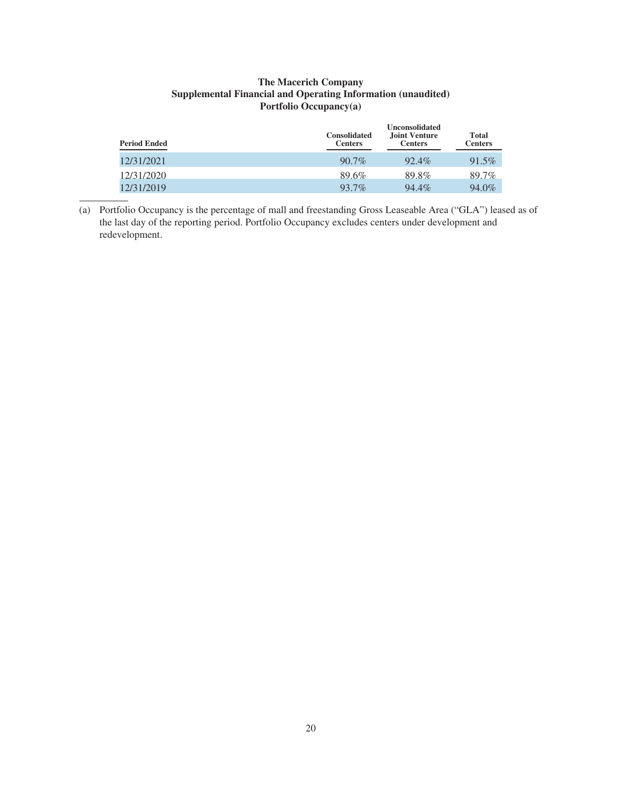## **The Macerich Company Supplemental Financial and Operating Information (unaudited) Portfolio Occupancy(a)**

| <b>Period Ended</b> | <b>Consolidated</b><br><b>Centers</b> | <b>Unconsolidated</b><br>Joint Venture<br><b>Centers</b> | <b>Total</b><br><b>Centers</b> |
|---------------------|---------------------------------------|----------------------------------------------------------|--------------------------------|
| 12/31/2021          | $90.7\%$                              | 92.4%                                                    | 91.5%                          |
| 12/31/2020          | 89.6%                                 | 89.8%                                                    | 89.7%                          |
| 12/31/2019          | 93.7%                                 | 94.4%                                                    | 94.0%                          |

(a) Portfolio Occupancy is the percentage of mall and freestanding Gross Leaseable Area ("GLA") leased as of the last day of the reporting period. Portfolio Occupancy excludes centers under development and redevelopment.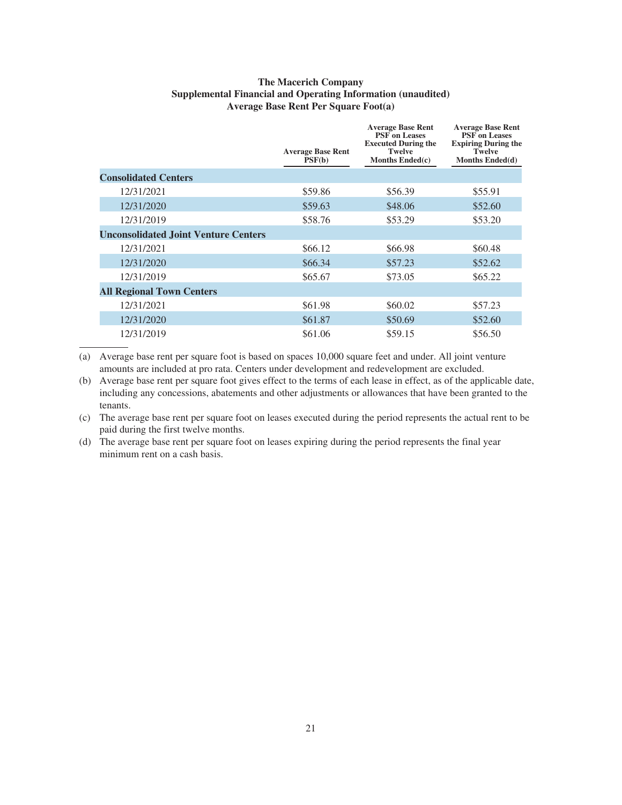# **The Macerich Company Supplemental Financial and Operating Information (unaudited) Average Base Rent Per Square Foot(a)**

|                                             | <b>Average Base Rent</b><br>PSF(b) | <b>Average Base Rent</b><br><b>PSF</b> on Leases<br><b>Executed During the</b><br><b>Twelve</b><br>Months Ended(c) | <b>Average Base Rent</b><br><b>PSF</b> on Leases<br><b>Expiring During the</b><br><b>Twelve</b><br>Months Ended(d) |
|---------------------------------------------|------------------------------------|--------------------------------------------------------------------------------------------------------------------|--------------------------------------------------------------------------------------------------------------------|
| <b>Consolidated Centers</b>                 |                                    |                                                                                                                    |                                                                                                                    |
| 12/31/2021                                  | \$59.86                            | \$56.39                                                                                                            | \$55.91                                                                                                            |
| 12/31/2020                                  | \$59.63                            | \$48.06                                                                                                            | \$52.60                                                                                                            |
| 12/31/2019                                  | \$58.76                            | \$53.29                                                                                                            | \$53.20                                                                                                            |
| <b>Unconsolidated Joint Venture Centers</b> |                                    |                                                                                                                    |                                                                                                                    |
| 12/31/2021                                  | \$66.12                            | \$66.98                                                                                                            | \$60.48                                                                                                            |
| 12/31/2020                                  | \$66.34                            | \$57.23                                                                                                            | \$52.62                                                                                                            |
| 12/31/2019                                  | \$65.67                            | \$73.05                                                                                                            | \$65.22                                                                                                            |
| <b>All Regional Town Centers</b>            |                                    |                                                                                                                    |                                                                                                                    |
| 12/31/2021                                  | \$61.98                            | \$60.02                                                                                                            | \$57.23                                                                                                            |
| 12/31/2020                                  | \$61.87                            | \$50.69                                                                                                            | \$52.60                                                                                                            |
| 12/31/2019                                  | \$61.06                            | \$59.15                                                                                                            | \$56.50                                                                                                            |

(a) Average base rent per square foot is based on spaces 10,000 square feet and under. All joint venture amounts are included at pro rata. Centers under development and redevelopment are excluded.

(b) Average base rent per square foot gives effect to the terms of each lease in effect, as of the applicable date, including any concessions, abatements and other adjustments or allowances that have been granted to the tenants.

(c) The average base rent per square foot on leases executed during the period represents the actual rent to be paid during the first twelve months.

(d) The average base rent per square foot on leases expiring during the period represents the final year minimum rent on a cash basis.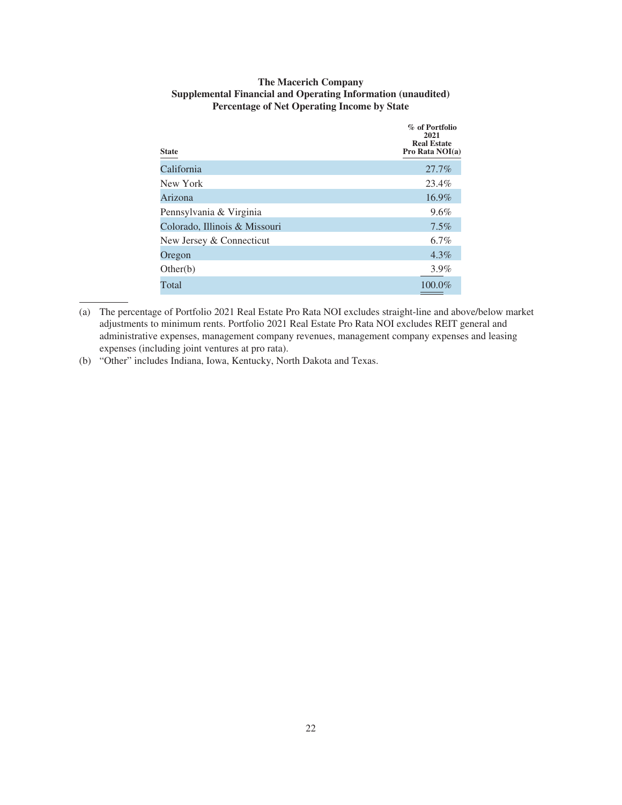| <b>The Macerich Company</b>                                  |
|--------------------------------------------------------------|
| Supplemental Financial and Operating Information (unaudited) |
| <b>Percentage of Net Operating Income by State</b>           |

| <b>State</b>                  | % of Portfolio<br>2021<br><b>Real Estate</b><br>Pro Rata NOI(a) |
|-------------------------------|-----------------------------------------------------------------|
| California                    | 27.7%                                                           |
| New York                      | 23.4%                                                           |
| Arizona                       | 16.9%                                                           |
| Pennsylvania & Virginia       | $9.6\%$                                                         |
| Colorado, Illinois & Missouri | $7.5\%$                                                         |
| New Jersey & Connecticut      | 6.7%                                                            |
| Oregon                        | $4.3\%$                                                         |
| Other(b)                      | 3.9%                                                            |
| Total                         | 100.0%                                                          |

<sup>(</sup>a) The percentage of Portfolio 2021 Real Estate Pro Rata NOI excludes straight-line and above/below market adjustments to minimum rents. Portfolio 2021 Real Estate Pro Rata NOI excludes REIT general and administrative expenses, management company revenues, management company expenses and leasing expenses (including joint ventures at pro rata).

(b) "Other" includes Indiana, Iowa, Kentucky, North Dakota and Texas.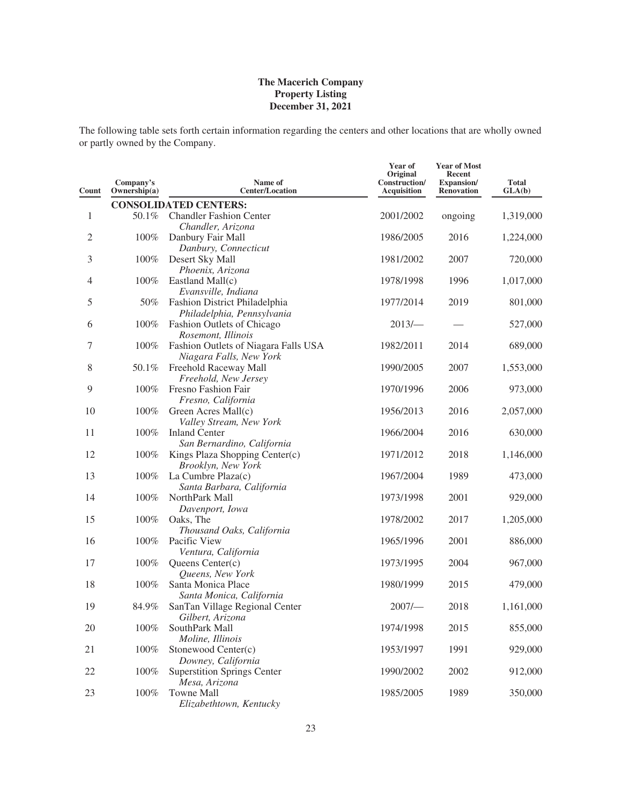The following table sets forth certain information regarding the centers and other locations that are wholly owned or partly owned by the Company.

| Count        | Company's<br>Ownership(a) | Name of<br><b>Center/Location</b>                               | Year of<br>Original<br>Construction/<br>Acquisition | <b>Year of Most</b><br>Recent<br><b>Expansion/</b><br><b>Renovation</b> | <b>Total</b><br>GLA(b) |
|--------------|---------------------------|-----------------------------------------------------------------|-----------------------------------------------------|-------------------------------------------------------------------------|------------------------|
|              |                           | <b>CONSOLIDATED CENTERS:</b>                                    |                                                     |                                                                         |                        |
| $\mathbf{1}$ | 50.1%                     | <b>Chandler Fashion Center</b><br>Chandler, Arizona             | 2001/2002                                           | ongoing                                                                 | 1,319,000              |
| $\sqrt{2}$   | 100%                      | Danbury Fair Mall<br>Danbury, Connecticut                       | 1986/2005                                           | 2016                                                                    | 1,224,000              |
| 3            | 100%                      | Desert Sky Mall<br>Phoenix, Arizona                             | 1981/2002                                           | 2007                                                                    | 720,000                |
| 4            | 100%                      | Eastland Mall(c)<br>Evansville, Indiana                         | 1978/1998                                           | 1996                                                                    | 1,017,000              |
| 5            | 50%                       | Fashion District Philadelphia<br>Philadelphia, Pennsylvania     | 1977/2014                                           | 2019                                                                    | 801,000                |
| 6            | 100%                      | Fashion Outlets of Chicago<br>Rosemont, Illinois                | $2013/-$                                            |                                                                         | 527,000                |
| 7            | 100%                      | Fashion Outlets of Niagara Falls USA<br>Niagara Falls, New York | 1982/2011                                           | 2014                                                                    | 689,000                |
| 8            | 50.1%                     | Freehold Raceway Mall<br>Freehold, New Jersey                   | 1990/2005                                           | 2007                                                                    | 1,553,000              |
| 9            | 100%                      | Fresno Fashion Fair<br>Fresno, California                       | 1970/1996                                           | 2006                                                                    | 973,000                |
| 10           | 100%                      | Green Acres Mall(c)<br>Valley Stream, New York                  | 1956/2013                                           | 2016                                                                    | 2,057,000              |
| 11           | 100%                      | <b>Inland Center</b><br>San Bernardino, California              | 1966/2004                                           | 2016                                                                    | 630,000                |
| 12           | 100%                      | Kings Plaza Shopping Center(c)<br>Brooklyn, New York            | 1971/2012                                           | 2018                                                                    | 1,146,000              |
| 13           | 100%                      | La Cumbre Plaza(c)<br>Santa Barbara, California                 | 1967/2004                                           | 1989                                                                    | 473,000                |
| 14           | 100%                      | NorthPark Mall<br>Davenport, Iowa                               | 1973/1998                                           | 2001                                                                    | 929,000                |
| 15           | 100%                      | Oaks, The<br>Thousand Oaks, California                          | 1978/2002                                           | 2017                                                                    | 1,205,000              |
| 16           | 100%                      | Pacific View<br>Ventura, California                             | 1965/1996                                           | 2001                                                                    | 886,000                |
| 17           | 100%                      | Queens Center(c)<br>Queens, New York                            | 1973/1995                                           | 2004                                                                    | 967,000                |
| 18           | 100%                      | Santa Monica Place<br>Santa Monica, California                  | 1980/1999                                           | 2015                                                                    | 479,000                |
| 19           | 84.9%                     | SanTan Village Regional Center<br>Gilbert, Arizona              | 2007/                                               | 2018                                                                    | 1,161,000              |
| 20           | 100%                      | SouthPark Mall<br>Moline, Illinois                              | 1974/1998                                           | 2015                                                                    | 855,000                |
| 21           | 100%                      | Stonewood Center(c)<br>Downey, California                       | 1953/1997                                           | 1991                                                                    | 929,000                |
| 22           | 100%                      | <b>Superstition Springs Center</b><br>Mesa, Arizona             | 1990/2002                                           | 2002                                                                    | 912,000                |
| 23           | 100%                      | Towne Mall<br>Elizabethtown, Kentucky                           | 1985/2005                                           | 1989                                                                    | 350,000                |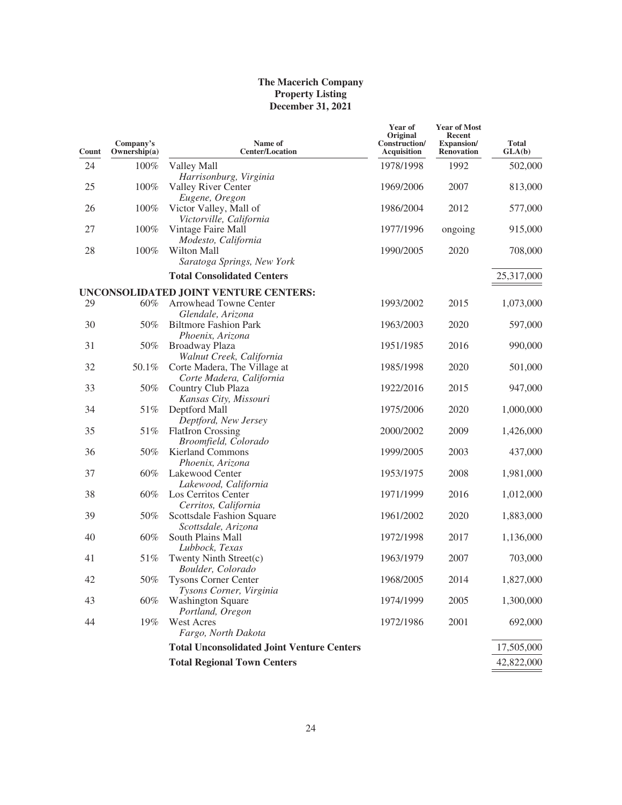| Count | Company's<br>Ownership(a) | Name of<br><b>Center/Location</b>                               | Year of<br>Original<br>Construction/<br><b>Acquisition</b> | <b>Year of Most</b><br>Recent<br><b>Expansion</b> /<br><b>Renovation</b> | <b>Total</b><br>GLA(b) |
|-------|---------------------------|-----------------------------------------------------------------|------------------------------------------------------------|--------------------------------------------------------------------------|------------------------|
| 24    | 100%                      | Valley Mall                                                     | 1978/1998                                                  | 1992                                                                     | 502,000                |
| 25    | 100%                      | Harrisonburg, Virginia<br>Valley River Center<br>Eugene, Oregon | 1969/2006                                                  | 2007                                                                     | 813,000                |
| 26    | 100%                      | Victor Valley, Mall of<br>Victorville, California               | 1986/2004                                                  | 2012                                                                     | 577,000                |
| 27    | 100%                      | Vintage Faire Mall<br>Modesto, California                       | 1977/1996                                                  | ongoing                                                                  | 915,000                |
| 28    | 100%                      | Wilton Mall<br>Saratoga Springs, New York                       | 1990/2005                                                  | 2020                                                                     | 708,000                |
|       |                           | <b>Total Consolidated Centers</b>                               |                                                            |                                                                          | 25,317,000             |
|       |                           | UNCONSOLIDATED JOINT VENTURE CENTERS:                           |                                                            |                                                                          |                        |
| 29    | $60\%$                    | Arrowhead Towne Center<br>Glendale, Arizona                     | 1993/2002                                                  | 2015                                                                     | 1,073,000              |
| 30    | 50%                       | <b>Biltmore Fashion Park</b><br>Phoenix, Arizona                | 1963/2003                                                  | 2020                                                                     | 597,000                |
| 31    | 50%                       | Broadway Plaza<br>Walnut Creek, California                      | 1951/1985                                                  | 2016                                                                     | 990,000                |
| 32    | 50.1%                     | Corte Madera, The Village at<br>Corte Madera, California        | 1985/1998                                                  | 2020                                                                     | 501,000                |
| 33    | 50%                       | Country Club Plaza<br>Kansas City, Missouri                     | 1922/2016                                                  | 2015                                                                     | 947,000                |
| 34    | 51%                       | Deptford Mall<br>Deptford, New Jersey                           | 1975/2006                                                  | 2020                                                                     | 1,000,000              |
| 35    | 51%                       | <b>FlatIron Crossing</b><br>Broomfield, Colorado                | 2000/2002                                                  | 2009                                                                     | 1,426,000              |
| 36    | 50%                       | <b>Kierland Commons</b><br>Phoenix, Arizona                     | 1999/2005                                                  | 2003                                                                     | 437,000                |
| 37    | 60%                       | Lakewood Center<br>Lakewood, California                         | 1953/1975                                                  | 2008                                                                     | 1,981,000              |
| 38    | 60%                       | Los Cerritos Center<br>Cerritos, California                     | 1971/1999                                                  | 2016                                                                     | 1,012,000              |
| 39    | 50%                       | Scottsdale Fashion Square<br>Scottsdale, Arizona                | 1961/2002                                                  | 2020                                                                     | 1,883,000              |
| 40    | 60%                       | South Plains Mall<br>Lubbock, Texas                             | 1972/1998                                                  | 2017                                                                     | 1,136,000              |
| 41    | 51%                       | Twenty Ninth Street(c)<br>Boulder, Colorado                     | 1963/1979                                                  | 2007                                                                     | 703,000                |
| 42    | 50%                       | <b>Tysons Corner Center</b><br>Tysons Corner, Virginia          | 1968/2005                                                  | 2014                                                                     | 1,827,000              |
| 43    | 60%                       | <b>Washington Square</b><br>Portland, Oregon                    | 1974/1999                                                  | 2005                                                                     | 1,300,000              |
| 44    | 19%                       | West Acres<br>Fargo, North Dakota                               | 1972/1986                                                  | 2001                                                                     | 692,000                |
|       |                           | <b>Total Unconsolidated Joint Venture Centers</b>               |                                                            |                                                                          | 17,505,000             |
|       |                           | <b>Total Regional Town Centers</b>                              |                                                            |                                                                          | 42,822,000             |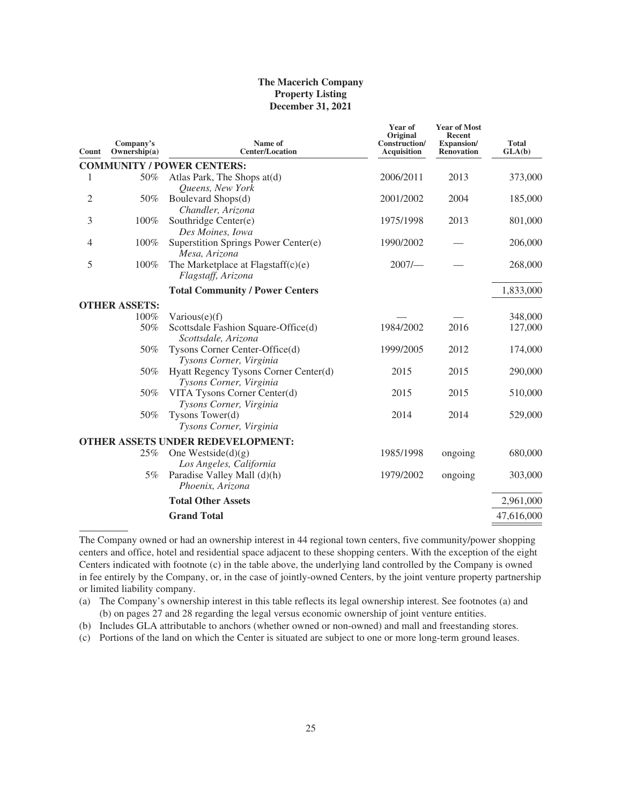| Count          | Company's<br>Ownership(a) | Name of<br><b>Center/Location</b>                                | Year of<br>Original<br>Construction/<br><b>Acquisition</b> | <b>Year of Most</b><br><b>Recent</b><br><b>Expansion</b> /<br><b>Renovation</b> | <b>Total</b><br>GLA(b) |
|----------------|---------------------------|------------------------------------------------------------------|------------------------------------------------------------|---------------------------------------------------------------------------------|------------------------|
|                |                           | <b>COMMUNITY / POWER CENTERS:</b>                                |                                                            |                                                                                 |                        |
| 1              | 50%                       | Atlas Park, The Shops at (d)<br>Queens, New York                 | 2006/2011                                                  | 2013                                                                            | 373,000                |
| $\overline{c}$ | 50%                       | Boulevard Shops(d)<br>Chandler, Arizona                          | 2001/2002                                                  | 2004                                                                            | 185,000                |
| 3              | 100%                      | Southridge Center(e)<br>Des Moines, Iowa                         | 1975/1998                                                  | 2013                                                                            | 801,000                |
| $\overline{4}$ | 100%                      | Superstition Springs Power Center(e)<br>Mesa, Arizona            | 1990/2002                                                  |                                                                                 | 206,000                |
| 5              | 100%                      | The Marketplace at Flagstaff $(c)(e)$<br>Flagstaff, Arizona      | 2007/                                                      |                                                                                 | 268,000                |
|                |                           | <b>Total Community / Power Centers</b>                           |                                                            |                                                                                 | 1,833,000              |
|                | <b>OTHER ASSETS:</b>      |                                                                  |                                                            |                                                                                 |                        |
|                | 100%                      | Various $(e)(f)$                                                 |                                                            |                                                                                 | 348,000                |
|                | 50%                       | Scottsdale Fashion Square-Office(d)<br>Scottsdale, Arizona       | 1984/2002                                                  | 2016                                                                            | 127,000                |
|                | 50%                       | Tysons Corner Center-Office(d)<br>Tysons Corner, Virginia        | 1999/2005                                                  | 2012                                                                            | 174,000                |
|                | 50%                       | Hyatt Regency Tysons Corner Center(d)<br>Tysons Corner, Virginia | 2015                                                       | 2015                                                                            | 290,000                |
|                | 50%                       | VITA Tysons Corner Center(d)<br>Tysons Corner, Virginia          | 2015                                                       | 2015                                                                            | 510,000                |
|                | 50%                       | Tysons Tower(d)<br>Tysons Corner, Virginia                       | 2014                                                       | 2014                                                                            | 529,000                |
|                |                           | <b>OTHER ASSETS UNDER REDEVELOPMENT:</b>                         |                                                            |                                                                                 |                        |
|                | 25%                       | One Westside $(d)(g)$<br>Los Angeles, California                 | 1985/1998                                                  | ongoing                                                                         | 680,000                |
|                | 5%                        | Paradise Valley Mall (d)(h)<br>Phoenix, Arizona                  | 1979/2002                                                  | ongoing                                                                         | 303,000                |
|                |                           | <b>Total Other Assets</b>                                        |                                                            |                                                                                 | 2,961,000              |
|                |                           | <b>Grand Total</b>                                               |                                                            |                                                                                 | 47,616,000             |
|                |                           |                                                                  |                                                            |                                                                                 |                        |

The Company owned or had an ownership interest in 44 regional town centers, five community/power shopping centers and office, hotel and residential space adjacent to these shopping centers. With the exception of the eight Centers indicated with footnote (c) in the table above, the underlying land controlled by the Company is owned in fee entirely by the Company, or, in the case of jointly-owned Centers, by the joint venture property partnership or limited liability company.

(a) The Company's ownership interest in this table reflects its legal ownership interest. See footnotes (a) and (b) on pages 27 and 28 regarding the legal versus economic ownership of joint venture entities.

(b) Includes GLA attributable to anchors (whether owned or non-owned) and mall and freestanding stores.

(c) Portions of the land on which the Center is situated are subject to one or more long-term ground leases.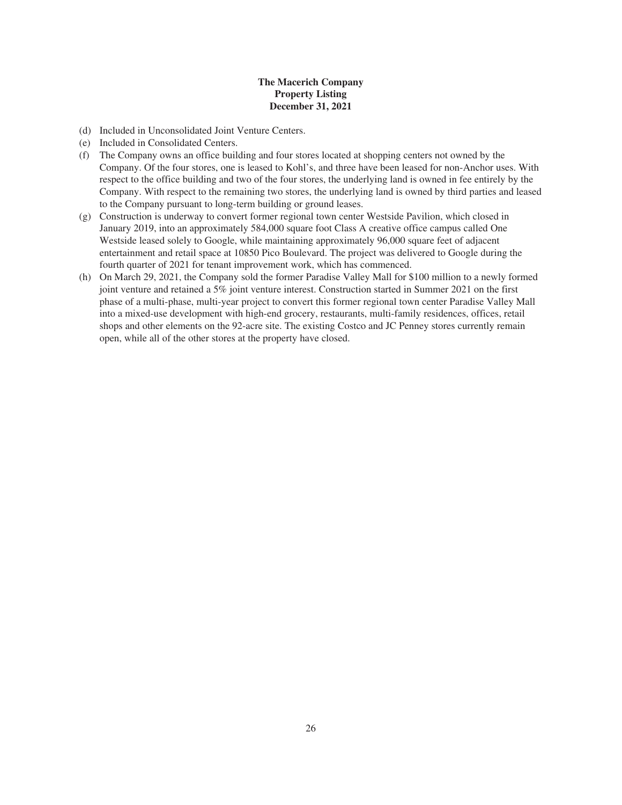- (d) Included in Unconsolidated Joint Venture Centers.
- (e) Included in Consolidated Centers.
- (f) The Company owns an office building and four stores located at shopping centers not owned by the Company. Of the four stores, one is leased to Kohl's, and three have been leased for non-Anchor uses. With respect to the office building and two of the four stores, the underlying land is owned in fee entirely by the Company. With respect to the remaining two stores, the underlying land is owned by third parties and leased to the Company pursuant to long-term building or ground leases.
- (g) Construction is underway to convert former regional town center Westside Pavilion, which closed in January 2019, into an approximately 584,000 square foot Class A creative office campus called One Westside leased solely to Google, while maintaining approximately 96,000 square feet of adjacent entertainment and retail space at 10850 Pico Boulevard. The project was delivered to Google during the fourth quarter of 2021 for tenant improvement work, which has commenced.
- (h) On March 29, 2021, the Company sold the former Paradise Valley Mall for \$100 million to a newly formed joint venture and retained a 5% joint venture interest. Construction started in Summer 2021 on the first phase of a multi-phase, multi-year project to convert this former regional town center Paradise Valley Mall into a mixed-use development with high-end grocery, restaurants, multi-family residences, offices, retail shops and other elements on the 92-acre site. The existing Costco and JC Penney stores currently remain open, while all of the other stores at the property have closed.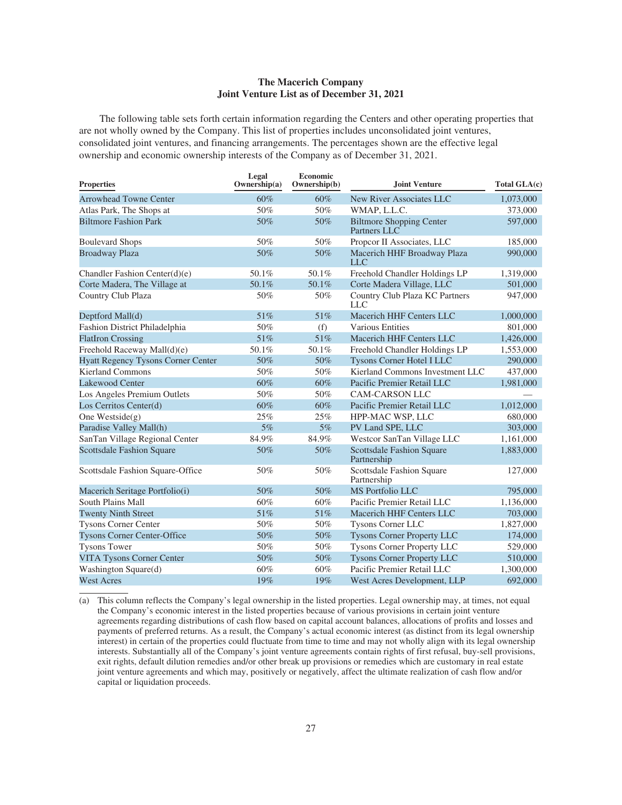### **The Macerich Company Joint Venture List as of December 31, 2021**

The following table sets forth certain information regarding the Centers and other operating properties that are not wholly owned by the Company. This list of properties includes unconsolidated joint ventures, consolidated joint ventures, and financing arrangements. The percentages shown are the effective legal ownership and economic ownership interests of the Company as of December 31, 2021.

| <b>Properties</b>                         | Legal<br>Ownership $(a)$ | Economic<br>Ownership(b) | Joint Venture                                   | Total GLA(c) |
|-------------------------------------------|--------------------------|--------------------------|-------------------------------------------------|--------------|
| <b>Arrowhead Towne Center</b>             | 60%                      | 60%                      | New River Associates LLC                        | 1,073,000    |
| Atlas Park, The Shops at                  | 50%                      | 50%                      | WMAP, L.L.C.                                    | 373,000      |
| <b>Biltmore Fashion Park</b>              | 50%                      | 50%                      | <b>Biltmore Shopping Center</b><br>Partners LLC | 597,000      |
| <b>Boulevard Shops</b>                    | 50%                      | 50%                      | Propcor II Associates, LLC                      | 185,000      |
| <b>Broadway Plaza</b>                     | 50%                      | 50%                      | Macerich HHF Broadway Plaza<br>LLC              | 990,000      |
| Chandler Fashion Center(d)(e)             | 50.1%                    | 50.1%                    | Freehold Chandler Holdings LP                   | 1,319,000    |
| Corte Madera, The Village at              | 50.1%                    | 50.1%                    | Corte Madera Village, LLC                       | 501,000      |
| Country Club Plaza                        | 50%                      | 50%                      | Country Club Plaza KC Partners<br><b>LLC</b>    | 947,000      |
| Deptford Mall(d)                          | 51%                      | 51%                      | Macerich HHF Centers LLC                        | 1,000,000    |
| Fashion District Philadelphia             | 50%                      | (f)                      | <b>Various Entities</b>                         | 801,000      |
| <b>FlatIron Crossing</b>                  | 51%                      | 51%                      | Macerich HHF Centers LLC                        | 1,426,000    |
| Freehold Raceway Mall(d)(e)               | 50.1%                    | 50.1%                    | Freehold Chandler Holdings LP                   | 1,553,000    |
| <b>Hyatt Regency Tysons Corner Center</b> | 50%                      | 50%                      | <b>Tysons Corner Hotel I LLC</b>                | 290,000      |
| <b>Kierland Commons</b>                   | 50%                      | 50%                      | Kierland Commons Investment LLC                 | 437,000      |
| <b>Lakewood Center</b>                    | 60%                      | 60%                      | Pacific Premier Retail LLC                      | 1,981,000    |
| Los Angeles Premium Outlets               | 50%                      | 50%                      | <b>CAM-CARSON LLC</b>                           |              |
| Los Cerritos Center(d)                    | 60%                      | 60%                      | Pacific Premier Retail LLC                      | 1,012,000    |
| One Westside $(g)$                        | 25%                      | 25%                      | HPP-MAC WSP, LLC                                | 680,000      |
| Paradise Valley Mall(h)                   | 5%                       | 5%                       | PV Land SPE, LLC                                | 303,000      |
| SanTan Village Regional Center            | 84.9%                    | 84.9%                    | Westcor SanTan Village LLC                      | 1,161,000    |
| <b>Scottsdale Fashion Square</b>          | 50%                      | 50%                      | <b>Scottsdale Fashion Square</b><br>Partnership | 1,883,000    |
| Scottsdale Fashion Square-Office          | 50%                      | 50%                      | Scottsdale Fashion Square<br>Partnership        | 127,000      |
| Macerich Seritage Portfolio(i)            | 50%                      | 50%                      | MS Portfolio LLC                                | 795,000      |
| South Plains Mall                         | 60%                      | 60%                      | Pacific Premier Retail LLC                      | 1,136,000    |
| <b>Twenty Ninth Street</b>                | 51%                      | 51%                      | Macerich HHF Centers LLC                        | 703,000      |
| Tysons Corner Center                      | 50%                      | 50%                      | Tysons Corner LLC                               | 1,827,000    |
| <b>Tysons Corner Center-Office</b>        | 50%                      | 50%                      | <b>Tysons Corner Property LLC</b>               | 174,000      |
| <b>Tysons Tower</b>                       | 50%                      | 50%                      | <b>Tysons Corner Property LLC</b>               | 529,000      |
| <b>VITA Tysons Corner Center</b>          | 50%                      | 50%                      | <b>Tysons Corner Property LLC</b>               | 510,000      |
| Washington Square(d)                      | 60%                      | 60%                      | Pacific Premier Retail LLC                      | 1,300,000    |
| <b>West Acres</b>                         | 19%                      | 19%                      | West Acres Development, LLP                     | 692,000      |

(a) This column reflects the Company's legal ownership in the listed properties. Legal ownership may, at times, not equal the Company's economic interest in the listed properties because of various provisions in certain joint venture agreements regarding distributions of cash flow based on capital account balances, allocations of profits and losses and payments of preferred returns. As a result, the Company's actual economic interest (as distinct from its legal ownership interest) in certain of the properties could fluctuate from time to time and may not wholly align with its legal ownership interests. Substantially all of the Company's joint venture agreements contain rights of first refusal, buy-sell provisions, exit rights, default dilution remedies and/or other break up provisions or remedies which are customary in real estate joint venture agreements and which may, positively or negatively, affect the ultimate realization of cash flow and/or capital or liquidation proceeds.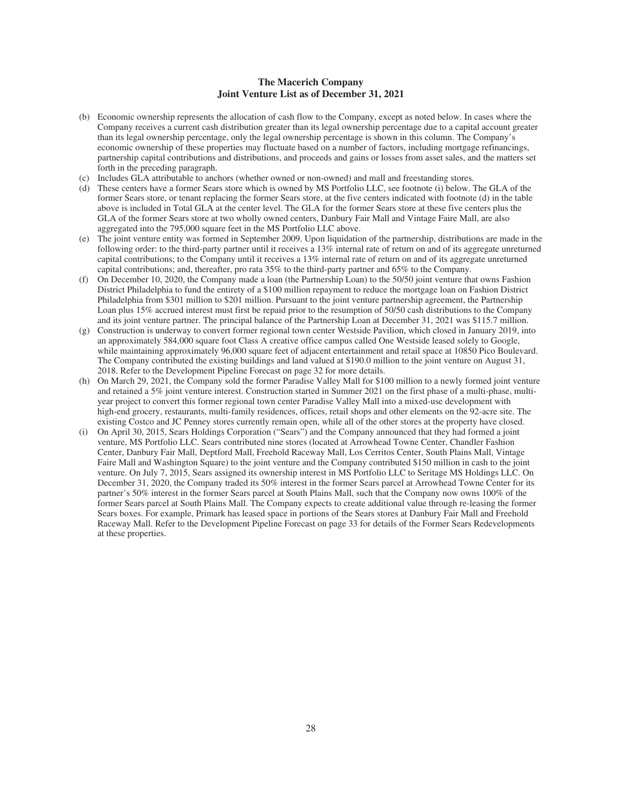### **The Macerich Company Joint Venture List as of December 31, 2021**

- (b) Economic ownership represents the allocation of cash flow to the Company, except as noted below. In cases where the Company receives a current cash distribution greater than its legal ownership percentage due to a capital account greater than its legal ownership percentage, only the legal ownership percentage is shown in this column. The Company's economic ownership of these properties may fluctuate based on a number of factors, including mortgage refinancings, partnership capital contributions and distributions, and proceeds and gains or losses from asset sales, and the matters set forth in the preceding paragraph.
- (c) Includes GLA attributable to anchors (whether owned or non-owned) and mall and freestanding stores.
- (d) These centers have a former Sears store which is owned by MS Portfolio LLC, see footnote (i) below. The GLA of the former Sears store, or tenant replacing the former Sears store, at the five centers indicated with footnote (d) in the table above is included in Total GLA at the center level. The GLA for the former Sears store at these five centers plus the GLA of the former Sears store at two wholly owned centers, Danbury Fair Mall and Vintage Faire Mall, are also aggregated into the 795,000 square feet in the MS Portfolio LLC above.
- (e) The joint venture entity was formed in September 2009. Upon liquidation of the partnership, distributions are made in the following order: to the third-party partner until it receives a 13% internal rate of return on and of its aggregate unreturned capital contributions; to the Company until it receives a 13% internal rate of return on and of its aggregate unreturned capital contributions; and, thereafter, pro rata 35% to the third-party partner and 65% to the Company.
- (f) On December 10, 2020, the Company made a loan (the Partnership Loan) to the 50/50 joint venture that owns Fashion District Philadelphia to fund the entirety of a \$100 million repayment to reduce the mortgage loan on Fashion District Philadelphia from \$301 million to \$201 million. Pursuant to the joint venture partnership agreement, the Partnership Loan plus 15% accrued interest must first be repaid prior to the resumption of 50/50 cash distributions to the Company and its joint venture partner. The principal balance of the Partnership Loan at December 31, 2021 was \$115.7 million.
- (g) Construction is underway to convert former regional town center Westside Pavilion, which closed in January 2019, into an approximately 584,000 square foot Class A creative office campus called One Westside leased solely to Google, while maintaining approximately 96,000 square feet of adjacent entertainment and retail space at 10850 Pico Boulevard. The Company contributed the existing buildings and land valued at \$190.0 million to the joint venture on August 31, 2018. Refer to the Development Pipeline Forecast on page 32 for more details.
- (h) On March 29, 2021, the Company sold the former Paradise Valley Mall for \$100 million to a newly formed joint venture and retained a 5% joint venture interest. Construction started in Summer 2021 on the first phase of a multi-phase, multiyear project to convert this former regional town center Paradise Valley Mall into a mixed-use development with high-end grocery, restaurants, multi-family residences, offices, retail shops and other elements on the 92-acre site. The existing Costco and JC Penney stores currently remain open, while all of the other stores at the property have closed.
- (i) On April 30, 2015, Sears Holdings Corporation ("Sears") and the Company announced that they had formed a joint venture, MS Portfolio LLC. Sears contributed nine stores (located at Arrowhead Towne Center, Chandler Fashion Center, Danbury Fair Mall, Deptford Mall, Freehold Raceway Mall, Los Cerritos Center, South Plains Mall, Vintage Faire Mall and Washington Square) to the joint venture and the Company contributed \$150 million in cash to the joint venture. On July 7, 2015, Sears assigned its ownership interest in MS Portfolio LLC to Seritage MS Holdings LLC. On December 31, 2020, the Company traded its 50% interest in the former Sears parcel at Arrowhead Towne Center for its partner's 50% interest in the former Sears parcel at South Plains Mall, such that the Company now owns 100% of the former Sears parcel at South Plains Mall. The Company expects to create additional value through re-leasing the former Sears boxes. For example, Primark has leased space in portions of the Sears stores at Danbury Fair Mall and Freehold Raceway Mall. Refer to the Development Pipeline Forecast on page 33 for details of the Former Sears Redevelopments at these properties.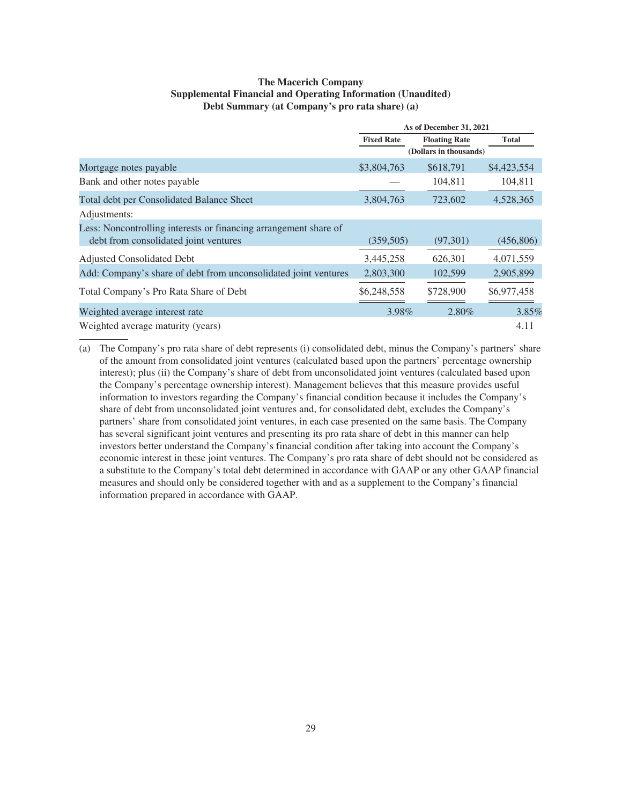### **The Macerich Company Supplemental Financial and Operating Information (Unaudited) Debt Summary (at Company's pro rata share) (a)**

|                                                                  |                   | As of December 31, 2021 |              |
|------------------------------------------------------------------|-------------------|-------------------------|--------------|
|                                                                  | <b>Fixed Rate</b> | <b>Floating Rate</b>    | <b>Total</b> |
|                                                                  |                   | (Dollars in thousands)  |              |
| Mortgage notes payable                                           | \$3,804,763       | \$618,791               | \$4,423,554  |
| Bank and other notes payable                                     |                   | 104,811                 | 104,811      |
| Total debt per Consolidated Balance Sheet                        | 3,804,763         | 723,602                 | 4,528,365    |
| Adjustments:                                                     |                   |                         |              |
| Less: Noncontrolling interests or financing arrangement share of |                   |                         |              |
| debt from consolidated joint ventures                            | (359, 505)        | (97,301)                | (456,806)    |
| Adjusted Consolidated Debt                                       | 3,445,258         | 626,301                 | 4,071,559    |
| Add: Company's share of debt from unconsolidated joint ventures  | 2,803,300         | 102,599                 | 2,905,899    |
| Total Company's Pro Rata Share of Debt                           | \$6,248,558       | \$728,900               | \$6,977,458  |
| Weighted average interest rate                                   | 3.98%             | 2.80%                   | 3.85%        |
| Weighted average maturity (years)                                |                   |                         | 4.11         |

(a) The Company's pro rata share of debt represents (i) consolidated debt, minus the Company's partners' share of the amount from consolidated joint ventures (calculated based upon the partners' percentage ownership interest); plus (ii) the Company's share of debt from unconsolidated joint ventures (calculated based upon the Company's percentage ownership interest). Management believes that this measure provides useful information to investors regarding the Company's financial condition because it includes the Company's share of debt from unconsolidated joint ventures and, for consolidated debt, excludes the Company's partners' share from consolidated joint ventures, in each case presented on the same basis. The Company has several significant joint ventures and presenting its pro rata share of debt in this manner can help investors better understand the Company's financial condition after taking into account the Company's economic interest in these joint ventures. The Company's pro rata share of debt should not be considered as a substitute to the Company's total debt determined in accordance with GAAP or any other GAAP financial measures and should only be considered together with and as a supplement to the Company's financial information prepared in accordance with GAAP.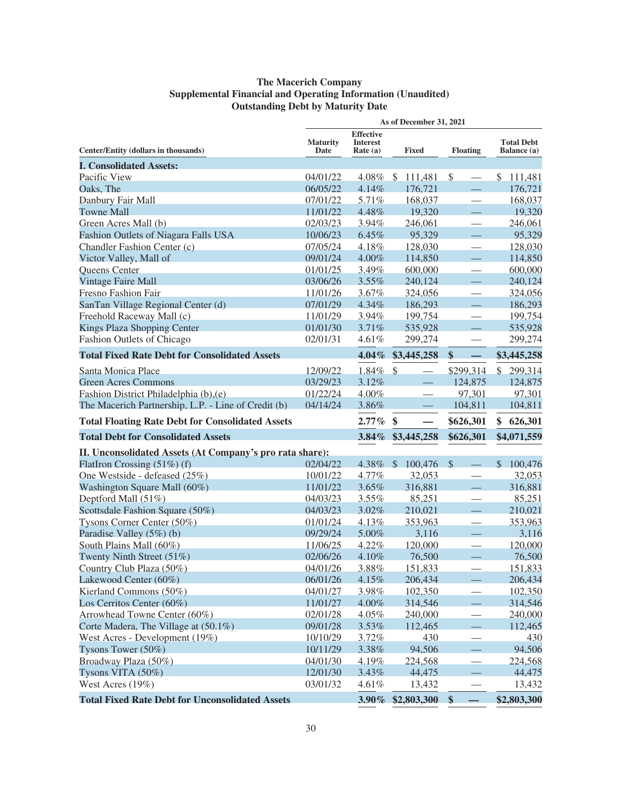# **The Macerich Company Supplemental Financial and Operating Information (Unaudited) Outstanding Debt by Maturity Date**

|                                                          |                         |                                                 | As of December 31, 2021                   |                          |                                  |
|----------------------------------------------------------|-------------------------|-------------------------------------------------|-------------------------------------------|--------------------------|----------------------------------|
| Center/Entity (dollars in thousands)                     | <b>Maturity</b><br>Date | <b>Effective</b><br><b>Interest</b><br>Rate (a) | <b>Fixed</b>                              | <b>Floating</b>          | <b>Total Debt</b><br>Balance (a) |
| <b>I. Consolidated Assets:</b>                           |                         |                                                 |                                           |                          |                                  |
| Pacific View                                             | 04/01/22                | $4.08\%$ \$                                     | 111,481                                   | \$                       | \$111,481                        |
| Oaks, The                                                | 06/05/22                | 4.14%                                           | 176,721                                   |                          | 176,721                          |
| Danbury Fair Mall                                        | 07/01/22                | 5.71%                                           | 168,037                                   | $\overline{\phantom{0}}$ | 168,037                          |
| <b>Towne Mall</b>                                        | 11/01/22                | 4.48%                                           | 19,320                                    |                          | 19,320                           |
| Green Acres Mall (b)                                     | 02/03/23                | 3.94%                                           | 246,061                                   |                          | 246,061                          |
| Fashion Outlets of Niagara Falls USA                     | 10/06/23                | 6.45%                                           | 95,329                                    |                          | 95,329                           |
| Chandler Fashion Center (c)                              | 07/05/24                | 4.18%                                           | 128,030                                   | $\overline{\phantom{0}}$ | 128,030                          |
| Victor Valley, Mall of                                   | 09/01/24                | 4.00%                                           | 114,850                                   |                          | 114,850                          |
| Queens Center                                            | 01/01/25                | 3.49%                                           | 600,000                                   |                          | 600,000                          |
| <b>Vintage Faire Mall</b>                                | 03/06/26                | $3.55\%$                                        | 240,124                                   |                          | 240,124                          |
| <b>Fresno Fashion Fair</b>                               | 11/01/26                | 3.67%                                           | 324,056                                   |                          | 324,056                          |
| SanTan Village Regional Center (d)                       | 07/01/29                | 4.34%                                           | 186,293                                   |                          | 186,293                          |
| Freehold Raceway Mall (c)                                | 11/01/29                | 3.94%                                           | 199,754                                   |                          | 199,754                          |
| Kings Plaza Shopping Center                              | 01/01/30                | 3.71%                                           | 535,928                                   |                          | 535,928                          |
| Fashion Outlets of Chicago                               | 02/01/31                | 4.61%                                           | 299,274                                   | $\overline{\phantom{0}}$ | 299,274                          |
| <b>Total Fixed Rate Debt for Consolidated Assets</b>     |                         | $4.04\%$                                        | \$3,445,258                               | \$                       | \$3,445,258                      |
| Santa Monica Place                                       | 12/09/22                | 1.84%                                           | $\mathcal{S}$<br>$\overline{\phantom{0}}$ | \$299,314                | \$299,314                        |
| <b>Green Acres Commons</b>                               | 03/29/23                | 3.12%                                           |                                           | 124,875                  | 124,875                          |
| Fashion District Philadelphia (b),(e)                    | 01/22/24                | 4.00%                                           |                                           | 97,301                   | 97,301                           |
| The Macerich Partnership, L.P. - Line of Credit (b)      | 04/14/24                | 3.86%                                           |                                           | 104,811                  | 104,811                          |
| <b>Total Floating Rate Debt for Consolidated Assets</b>  |                         | $2.77\%$                                        | \$                                        | \$626,301                | 626,301<br>\$                    |
| <b>Total Debt for Consolidated Assets</b>                |                         | $3.84\%$                                        | \$3,445,258                               | \$626,301                | \$4,071,559                      |
|                                                          |                         |                                                 |                                           |                          |                                  |
| II. Unconsolidated Assets (At Company's pro rata share): |                         | 4.38%                                           | $\mathcal{S}$                             | $\mathcal{S}$            | $\mathbb{S}$                     |
| FlatIron Crossing (51%) (f)                              | 02/04/22                |                                                 | 100,476                                   |                          | 100,476                          |
| One Westside - defeased (25%)                            | 10/01/22                | 4.77%                                           | 32,053                                    |                          | 32,053                           |
| Washington Square Mall (60%)                             | 11/01/22                | 3.65%                                           | 316,881                                   |                          | 316,881                          |
| Deptford Mall (51%)                                      | 04/03/23                | 3.55%                                           | 85,251                                    |                          | 85,251                           |
| Scottsdale Fashion Square (50%)                          | 04/03/23                | $3.02\%$                                        | 210,021                                   |                          | 210,021                          |
| Tysons Corner Center (50%)                               | 01/01/24                | 4.13%                                           | 353,963                                   | $\overline{\phantom{0}}$ | 353,963                          |
| Paradise Valley (5%) (b)                                 | 09/29/24                | 5.00%                                           | 3,116                                     |                          | 3,116                            |
| South Plains Mall (60%)                                  | 11/06/25                | 4.22%                                           | 120,000                                   |                          | 120,000                          |
| Twenty Ninth Street (51%)                                | 02/06/26                | 4.10%                                           | 76,500                                    |                          | 76,500                           |
| Country Club Plaza (50%)                                 | 04/01/26                | 3.88%                                           | 151,833                                   |                          | 151,833                          |
| Lakewood Center (60%)                                    | 06/01/26                | 4.15%                                           | 206,434                                   |                          | 206,434                          |
| Kierland Commons (50%)                                   | 04/01/27                | 3.98%                                           | 102,350                                   |                          | 102,350                          |
| Los Cerritos Center (60%)                                | 11/01/27                | 4.00%                                           | 314,546                                   |                          | 314,546                          |
| Arrowhead Towne Center (60%)                             | 02/01/28                | 4.05%                                           | 240,000                                   |                          | 240,000                          |
| Corte Madera, The Village at (50.1%)                     | 09/01/28                | 3.53%                                           | 112,465                                   |                          | 112,465                          |
| West Acres - Development (19%)                           | 10/10/29                | 3.72%                                           | 430                                       | $\overline{\phantom{0}}$ | 430                              |
| Tysons Tower $(50\%)$                                    | 10/11/29                | 3.38%                                           | 94,506                                    |                          | 94,506                           |
| Broadway Plaza (50%)                                     | 04/01/30                | 4.19%                                           | 224,568                                   | $\overline{\phantom{0}}$ | 224,568                          |
| Tysons VITA $(50\%)$                                     | 12/01/30                | 3.43%                                           | 44,475                                    | $\equiv$                 | 44,475                           |
| West Acres (19%)                                         |                         |                                                 |                                           |                          |                                  |
| <b>Total Fixed Rate Debt for Unconsolidated Assets</b>   | 03/01/32                | 4.61%<br>$3.90\%$                               | 13,432<br>\$2,803,300                     | \$                       | 13,432<br>\$2,803,300            |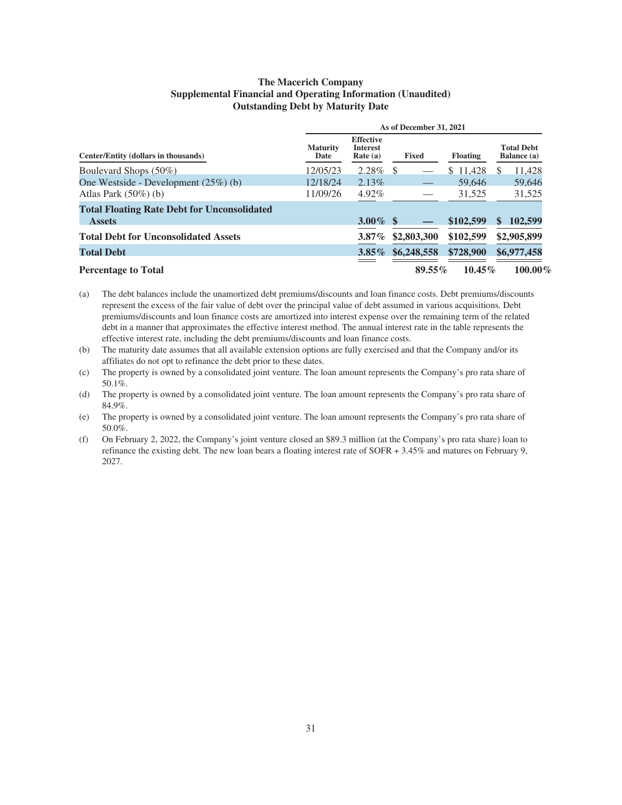### **The Macerich Company Supplemental Financial and Operating Information (Unaudited) Outstanding Debt by Maturity Date**

| As of December 31, 2021                                             |                         |                                                |              |                 |                                  |
|---------------------------------------------------------------------|-------------------------|------------------------------------------------|--------------|-----------------|----------------------------------|
| Center/Entity (dollars in thousands)                                | <b>Maturity</b><br>Date | <b>Effective</b><br><b>Interest</b><br>Rate(a) | <b>Fixed</b> | <b>Floating</b> | <b>Total Debt</b><br>Balance (a) |
| Boulevard Shops (50%)                                               | 12/05/23                | $2.28\%$ \$                                    |              | \$11,428        | 11,428<br><sup>\$</sup>          |
| One Westside - Development $(25\%)$ (b)                             | 12/18/24                | 2.13%                                          |              | 59.646          | 59,646                           |
| Atlas Park $(50\%)$ (b)                                             | 11/09/26                | $4.92\%$                                       |              | 31,525          | 31,525                           |
| <b>Total Floating Rate Debt for Unconsolidated</b><br><b>Assets</b> |                         | 3.00% \$                                       |              | \$102,599       | 102,599<br>S                     |
| <b>Total Debt for Unconsolidated Assets</b>                         |                         | $3.87\%$                                       | \$2,803,300  | \$102,599       | \$2,905,899                      |
| <b>Total Debt</b>                                                   |                         | $3.85\%$                                       | \$6,248,558  | \$728,900       | \$6,977,458                      |
| <b>Percentage to Total</b>                                          |                         |                                                | $89.55\%$    | $10.45\%$       | $100.00\%$                       |

(a) The debt balances include the unamortized debt premiums/discounts and loan finance costs. Debt premiums/discounts represent the excess of the fair value of debt over the principal value of debt assumed in various acquisitions. Debt premiums/discounts and loan finance costs are amortized into interest expense over the remaining term of the related debt in a manner that approximates the effective interest method. The annual interest rate in the table represents the effective interest rate, including the debt premiums/discounts and loan finance costs.

(b) The maturity date assumes that all available extension options are fully exercised and that the Company and/or its affiliates do not opt to refinance the debt prior to these dates.

(c) The property is owned by a consolidated joint venture. The loan amount represents the Company's pro rata share of 50.1%.

(d) The property is owned by a consolidated joint venture. The loan amount represents the Company's pro rata share of 84.9%.

(e) The property is owned by a consolidated joint venture. The loan amount represents the Company's pro rata share of 50.0%.

(f) On February 2, 2022, the Company's joint venture closed an \$89.3 million (at the Company's pro rata share) loan to refinance the existing debt. The new loan bears a floating interest rate of SOFR + 3.45% and matures on February 9, 2027.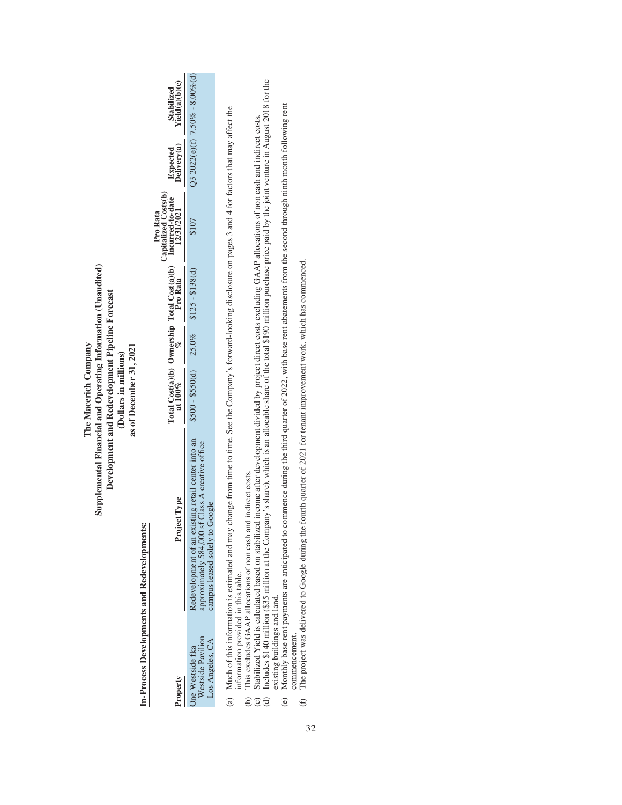| Westside Pavilion<br>Los Angeles, CA<br>One Westside fka<br>Property | (a) Much of this information is estimated and may change from time to time. See the Company's forward-looking disclosure on pages 3 and 4 for factors that may affect the<br>Supplemental Financial and Operating Information (Unaudited)<br>Redevelopment of an existing retail center into an<br>approximately 584,000 sf Class A creative office<br>Project Type<br>campus leased solely to Google<br>In-Process Developments and Redevelopments: | Total Cost(a)(b) Ownership Total Cost(a)(b)<br>Development and Redevelopment Pipeline Forecast<br>$$500 - $50(d)$ 25.0%<br>The Macerich Company<br>as of December 31, 2021<br>(Dollars in millions)<br>at $100\%$ | $$125 - $138(d)$<br>Pro Kata | Capitalized Costs(b)<br>Incurred-to-date<br>12/31/2021<br>Pro Rata<br>\$107 | Expected<br>Delivery(a) | Q3 2022(e)(f) $7.50\% - 8.00\%$ (d)<br>Yield(a)(b)(c)<br>Stabilized |
|----------------------------------------------------------------------|------------------------------------------------------------------------------------------------------------------------------------------------------------------------------------------------------------------------------------------------------------------------------------------------------------------------------------------------------------------------------------------------------------------------------------------------------|-------------------------------------------------------------------------------------------------------------------------------------------------------------------------------------------------------------------|------------------------------|-----------------------------------------------------------------------------|-------------------------|---------------------------------------------------------------------|
| nformation provided in this table.<br>$\Theta$<br>ê                  | Includes \$140 million (\$35 million at the Company's share), which is an allocable share of the total \$190 million purchase price paid by the joint venture in August 2018 for the<br>stabilized Yield is calculated based on stabilized income after development divided by project direct costs excluding GAAP allocations of non cash and indirect costs.<br>This excludes GAAP allocations of non cash and indirect costs.                     |                                                                                                                                                                                                                   |                              |                                                                             |                         |                                                                     |

existing buildings and land.<br>Monthly base rent payments are anticipated to commence during the third quarter of 2022, with base rent abatements from the second through ninth month following rent<br>commencement.<br>The project w (e) Monthly base rent payments are anticipated to commence during the third quarter of 2022, with base rent abatements from the second through ninth month following rent existing buildings and land.  $\odot$ 

(f) The project was delivered to Google during the fourth quarter of 2021 for tenant improvement work, which has commenced. commencement.  $\bigoplus$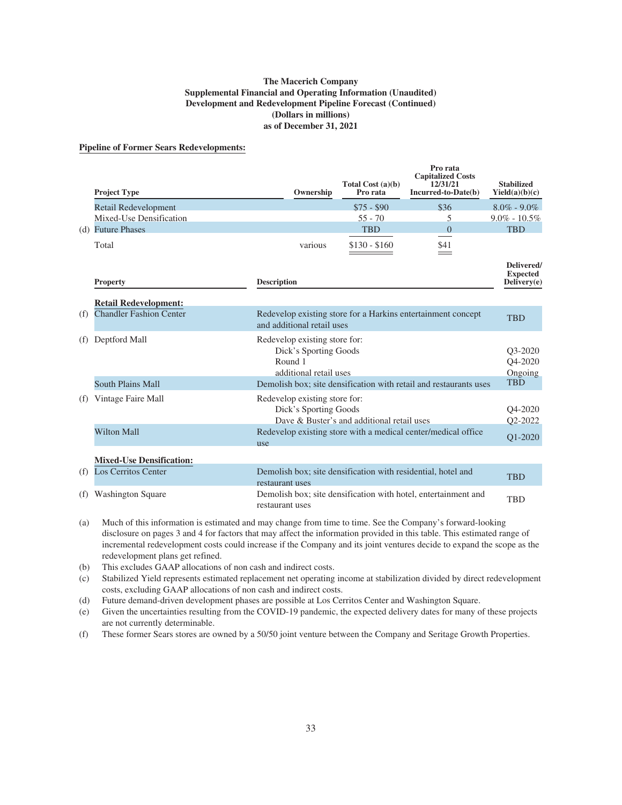#### **The Macerich Company Supplemental Financial and Operating Information (Unaudited) Development and Redevelopment Pipeline Forecast (Continued) (Dollars in millions) as of December 31, 2021**

#### **Pipeline of Former Sears Redevelopments:**

|     | <b>Project Type</b>                                                                                                        | Ownership                                                                                   | Total Cost $(a)(b)$<br>Pro rata | Pro rata<br><b>Capitalized Costs</b><br>12/31/21<br>Incurred-to-Date(b) | <b>Stabilized</b><br>Yield(a)(b)(c)          |
|-----|----------------------------------------------------------------------------------------------------------------------------|---------------------------------------------------------------------------------------------|---------------------------------|-------------------------------------------------------------------------|----------------------------------------------|
|     | Retail Redevelopment                                                                                                       |                                                                                             | $$75 - $90$                     | \$36                                                                    | $8.0\% - 9.0\%$                              |
|     | Mixed-Use Densification                                                                                                    |                                                                                             | $55 - 70$                       | 5                                                                       | $9.0\% - 10.5\%$                             |
|     | (d) Future Phases                                                                                                          |                                                                                             | <b>TBD</b>                      | $\Omega$                                                                | <b>TBD</b>                                   |
|     | Total                                                                                                                      | various                                                                                     | $$130 - $160$                   | \$41                                                                    |                                              |
|     | <b>Property</b>                                                                                                            | <b>Description</b>                                                                          |                                 |                                                                         | Delivered/<br><b>Expected</b><br>Delivery(e) |
|     | <b>Retail Redevelopment:</b>                                                                                               |                                                                                             |                                 |                                                                         |                                              |
| (f) | <b>Chandler Fashion Center</b>                                                                                             | and additional retail uses                                                                  |                                 | Redevelop existing store for a Harkins entertainment concept            | <b>TBD</b>                                   |
| (f) | Deptford Mall                                                                                                              | Redevelop existing store for:<br>Dick's Sporting Goods<br>Round 1<br>additional retail uses |                                 |                                                                         | O3-2020<br>O4-2020<br>Ongoing                |
|     | <b>South Plains Mall</b>                                                                                                   |                                                                                             |                                 | Demolish box; site densification with retail and restaurants uses       | <b>TBD</b>                                   |
| (f) | Vintage Faire Mall<br>Redevelop existing store for:<br>Dick's Sporting Goods<br>Dave & Buster's and additional retail uses |                                                                                             |                                 | O <sub>4</sub> -2020<br>Q2-2022                                         |                                              |
|     | <b>Wilton Mall</b>                                                                                                         | use                                                                                         |                                 | Redevelop existing store with a medical center/medical office           | O1-2020                                      |
|     | <b>Mixed-Use Densification:</b>                                                                                            |                                                                                             |                                 |                                                                         |                                              |
| (f) | <b>Los Cerritos Center</b>                                                                                                 | Demolish box; site densification with residential, hotel and<br>restaurant uses             |                                 |                                                                         | <b>TBD</b>                                   |
| (f) | <b>Washington Square</b>                                                                                                   | restaurant uses                                                                             |                                 | Demolish box; site densification with hotel, entertainment and          | <b>TBD</b>                                   |

- (a) Much of this information is estimated and may change from time to time. See the Company's forward-looking disclosure on pages 3 and 4 for factors that may affect the information provided in this table. This estimated range of incremental redevelopment costs could increase if the Company and its joint ventures decide to expand the scope as the redevelopment plans get refined.
- (b) This excludes GAAP allocations of non cash and indirect costs.
- (c) Stabilized Yield represents estimated replacement net operating income at stabilization divided by direct redevelopment costs, excluding GAAP allocations of non cash and indirect costs.
- (d) Future demand-driven development phases are possible at Los Cerritos Center and Washington Square.
- (e) Given the uncertainties resulting from the COVID-19 pandemic, the expected delivery dates for many of these projects are not currently determinable.
- (f) These former Sears stores are owned by a 50/50 joint venture between the Company and Seritage Growth Properties.